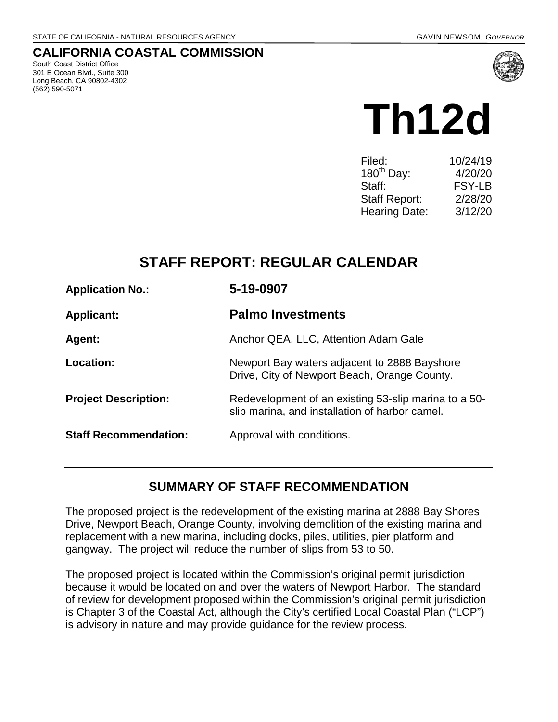# **CALIFORNIA COASTAL COMMISSION**

South Coast District Office 301 E Ocean Blvd., Suite 300 Long Beach, CA 90802-4302 (562) 590-5071



# **Th12d**

| Filed:               | 10/24/19      |
|----------------------|---------------|
| $180^{th}$ Day:      | 4/20/20       |
| Staff:               | <b>FSY-LB</b> |
| <b>Staff Report:</b> | 2/28/20       |
| <b>Hearing Date:</b> | 3/12/20       |
|                      |               |

# **STAFF REPORT: REGULAR CALENDAR**

| <b>Application No.:</b>      | 5-19-0907                                                                                              |
|------------------------------|--------------------------------------------------------------------------------------------------------|
| <b>Applicant:</b>            | <b>Palmo Investments</b>                                                                               |
| Agent:                       | Anchor QEA, LLC, Attention Adam Gale                                                                   |
| Location:                    | Newport Bay waters adjacent to 2888 Bayshore<br>Drive, City of Newport Beach, Orange County.           |
| <b>Project Description:</b>  | Redevelopment of an existing 53-slip marina to a 50-<br>slip marina, and installation of harbor camel. |
| <b>Staff Recommendation:</b> | Approval with conditions.                                                                              |

# **SUMMARY OF STAFF RECOMMENDATION**

The proposed project is the redevelopment of the existing marina at 2888 Bay Shores Drive, Newport Beach, Orange County, involving demolition of the existing marina and replacement with a new marina, including docks, piles, utilities, pier platform and gangway. The project will reduce the number of slips from 53 to 50.

The proposed project is located within the Commission's original permit jurisdiction because it would be located on and over the waters of Newport Harbor. The standard of review for development proposed within the Commission's original permit jurisdiction is Chapter 3 of the Coastal Act, although the City's certified Local Coastal Plan ("LCP") is advisory in nature and may provide guidance for the review process.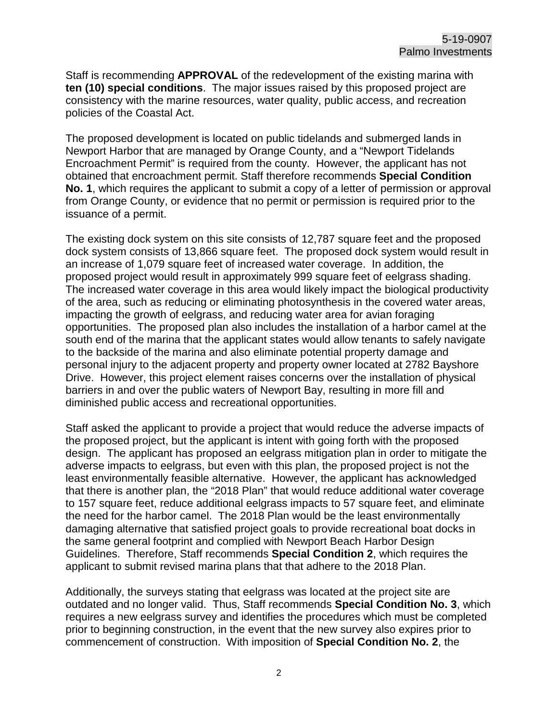Staff is recommending **APPROVAL** of the redevelopment of the existing marina with **ten (10) special conditions**. The major issues raised by this proposed project are consistency with the marine resources, water quality, public access, and recreation policies of the Coastal Act.

The proposed development is located on public tidelands and submerged lands in Newport Harbor that are managed by Orange County, and a "Newport Tidelands Encroachment Permit" is required from the county. However, the applicant has not obtained that encroachment permit. Staff therefore recommends **Special Condition No. 1**, which requires the applicant to submit a copy of a letter of permission or approval from Orange County, or evidence that no permit or permission is required prior to the issuance of a permit.

The existing dock system on this site consists of 12,787 square feet and the proposed dock system consists of 13,866 square feet. The proposed dock system would result in an increase of 1,079 square feet of increased water coverage. In addition, the proposed project would result in approximately 999 square feet of eelgrass shading. The increased water coverage in this area would likely impact the biological productivity of the area, such as reducing or eliminating photosynthesis in the covered water areas, impacting the growth of eelgrass, and reducing water area for avian foraging opportunities. The proposed plan also includes the installation of a harbor camel at the south end of the marina that the applicant states would allow tenants to safely navigate to the backside of the marina and also eliminate potential property damage and personal injury to the adjacent property and property owner located at 2782 Bayshore Drive. However, this project element raises concerns over the installation of physical barriers in and over the public waters of Newport Bay, resulting in more fill and diminished public access and recreational opportunities.

Staff asked the applicant to provide a project that would reduce the adverse impacts of the proposed project, but the applicant is intent with going forth with the proposed design. The applicant has proposed an eelgrass mitigation plan in order to mitigate the adverse impacts to eelgrass, but even with this plan, the proposed project is not the least environmentally feasible alternative. However, the applicant has acknowledged that there is another plan, the "2018 Plan" that would reduce additional water coverage to 157 square feet, reduce additional eelgrass impacts to 57 square feet, and eliminate the need for the harbor camel. The 2018 Plan would be the least environmentally damaging alternative that satisfied project goals to provide recreational boat docks in the same general footprint and complied with Newport Beach Harbor Design Guidelines. Therefore, Staff recommends **Special Condition 2**, which requires the applicant to submit revised marina plans that that adhere to the 2018 Plan.

Additionally, the surveys stating that eelgrass was located at the project site are outdated and no longer valid. Thus, Staff recommends **Special Condition No. 3**, which requires a new eelgrass survey and identifies the procedures which must be completed prior to beginning construction, in the event that the new survey also expires prior to commencement of construction. With imposition of **Special Condition No. 2**, the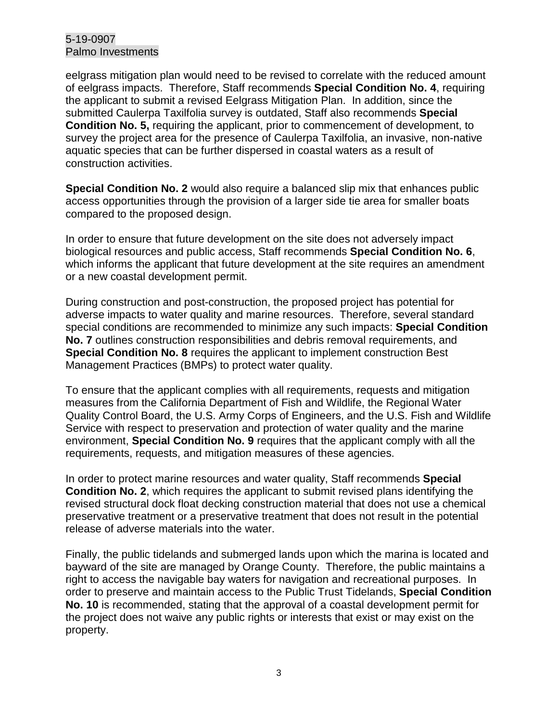eelgrass mitigation plan would need to be revised to correlate with the reduced amount of eelgrass impacts. Therefore, Staff recommends **Special Condition No. 4**, requiring the applicant to submit a revised Eelgrass Mitigation Plan. In addition, since the submitted Caulerpa Taxilfolia survey is outdated, Staff also recommends **Special Condition No. 5,** requiring the applicant, prior to commencement of development, to survey the project area for the presence of Caulerpa Taxilfolia, an invasive, non-native aquatic species that can be further dispersed in coastal waters as a result of construction activities.

**Special Condition No. 2** would also require a balanced slip mix that enhances public access opportunities through the provision of a larger side tie area for smaller boats compared to the proposed design.

In order to ensure that future development on the site does not adversely impact biological resources and public access, Staff recommends **Special Condition No. 6**, which informs the applicant that future development at the site requires an amendment or a new coastal development permit.

During construction and post-construction, the proposed project has potential for adverse impacts to water quality and marine resources. Therefore, several standard special conditions are recommended to minimize any such impacts: **Special Condition No. 7** outlines construction responsibilities and debris removal requirements, and **Special Condition No. 8** requires the applicant to implement construction Best Management Practices (BMPs) to protect water quality.

To ensure that the applicant complies with all requirements, requests and mitigation measures from the California Department of Fish and Wildlife, the Regional Water Quality Control Board, the U.S. Army Corps of Engineers, and the U.S. Fish and Wildlife Service with respect to preservation and protection of water quality and the marine environment, **Special Condition No. 9** requires that the applicant comply with all the requirements, requests, and mitigation measures of these agencies.

In order to protect marine resources and water quality, Staff recommends **Special Condition No. 2**, which requires the applicant to submit revised plans identifying the revised structural dock float decking construction material that does not use a chemical preservative treatment or a preservative treatment that does not result in the potential release of adverse materials into the water.

Finally, the public tidelands and submerged lands upon which the marina is located and bayward of the site are managed by Orange County. Therefore, the public maintains a right to access the navigable bay waters for navigation and recreational purposes. In order to preserve and maintain access to the Public Trust Tidelands, **Special Condition No. 10** is recommended, stating that the approval of a coastal development permit for the project does not waive any public rights or interests that exist or may exist on the property.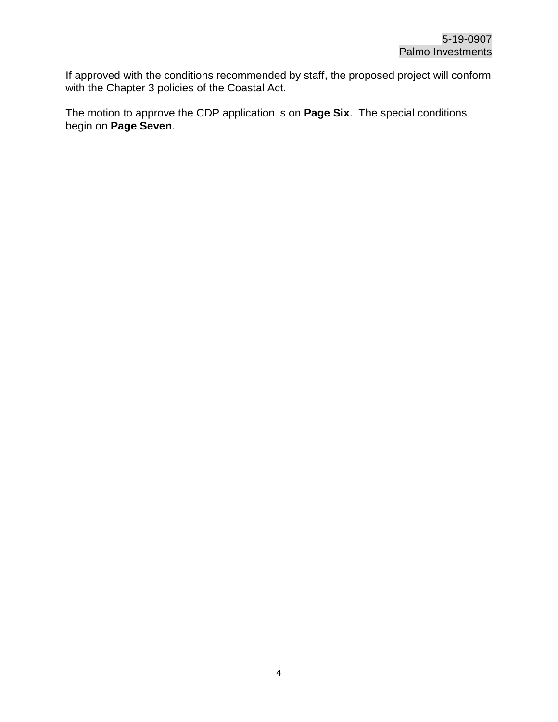If approved with the conditions recommended by staff, the proposed project will conform with the Chapter 3 policies of the Coastal Act.

The motion to approve the CDP application is on **Page Six**. The special conditions begin on **Page Seven**.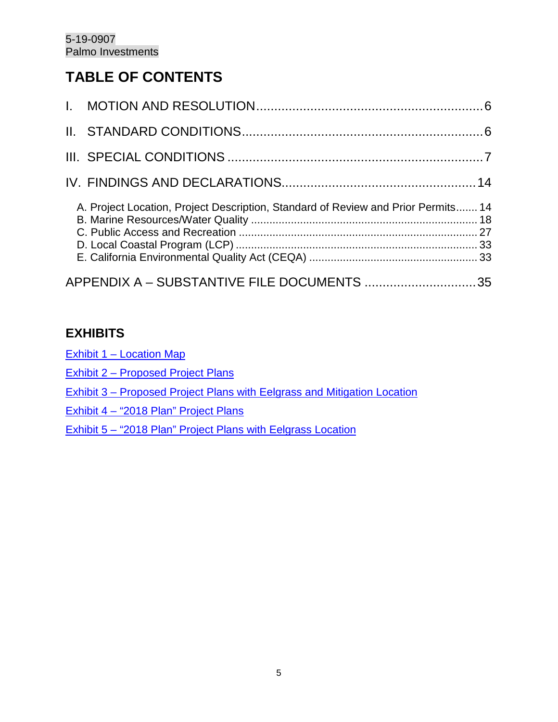# **TABLE OF CONTENTS**

| A. Project Location, Project Description, Standard of Review and Prior Permits 14 |  |
|-----------------------------------------------------------------------------------|--|
| APPENDIX A - SUBSTANTIVE FILE DOCUMENTS 35                                        |  |

# **EXHIBITS**

[Exhibit 1 – Location Map](https://documents.coastal.ca.gov/reports/2020/3/Th12d/Th12d-3-2020-exhibits.pdf)

- [Exhibit 2 Proposed Project Plans](https://documents.coastal.ca.gov/reports/2020/3/Th12d/Th12d-3-2020-exhibits.pdf)
- [Exhibit 3 Proposed Project Plans with Eelgrass and Mitigation Location](https://documents.coastal.ca.gov/reports/2020/3/Th12d/Th12d-3-2020-exhibits.pdf)
- [Exhibit 4 "2018 Plan" Project Plans](https://documents.coastal.ca.gov/reports/2020/3/Th12d/Th12d-3-2020-exhibits.pdf)
- [Exhibit 5 "2018 Plan" Project Plans with Eelgrass Location](https://documents.coastal.ca.gov/reports/2020/3/Th12d/Th12d-3-2020-exhibits.pdf)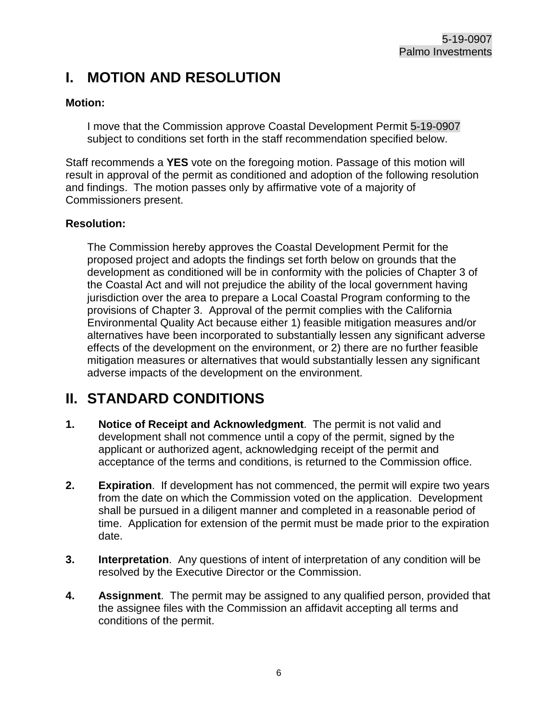# <span id="page-5-0"></span>**I. MOTION AND RESOLUTION**

## **Motion:**

I move that the Commission approve Coastal Development Permit 5-19-0907 subject to conditions set forth in the staff recommendation specified below.

Staff recommends a **YES** vote on the foregoing motion. Passage of this motion will result in approval of the permit as conditioned and adoption of the following resolution and findings. The motion passes only by affirmative vote of a majority of Commissioners present.

## **Resolution:**

The Commission hereby approves the Coastal Development Permit for the proposed project and adopts the findings set forth below on grounds that the development as conditioned will be in conformity with the policies of Chapter 3 of the Coastal Act and will not prejudice the ability of the local government having jurisdiction over the area to prepare a Local Coastal Program conforming to the provisions of Chapter 3. Approval of the permit complies with the California Environmental Quality Act because either 1) feasible mitigation measures and/or alternatives have been incorporated to substantially lessen any significant adverse effects of the development on the environment, or 2) there are no further feasible mitigation measures or alternatives that would substantially lessen any significant adverse impacts of the development on the environment.

# <span id="page-5-1"></span>**II. STANDARD CONDITIONS**

- **1. Notice of Receipt and Acknowledgment**. The permit is not valid and development shall not commence until a copy of the permit, signed by the applicant or authorized agent, acknowledging receipt of the permit and acceptance of the terms and conditions, is returned to the Commission office.
- **2. Expiration**. If development has not commenced, the permit will expire two years from the date on which the Commission voted on the application. Development shall be pursued in a diligent manner and completed in a reasonable period of time. Application for extension of the permit must be made prior to the expiration date.
- **3. Interpretation**. Any questions of intent of interpretation of any condition will be resolved by the Executive Director or the Commission.
- **4. Assignment**. The permit may be assigned to any qualified person, provided that the assignee files with the Commission an affidavit accepting all terms and conditions of the permit.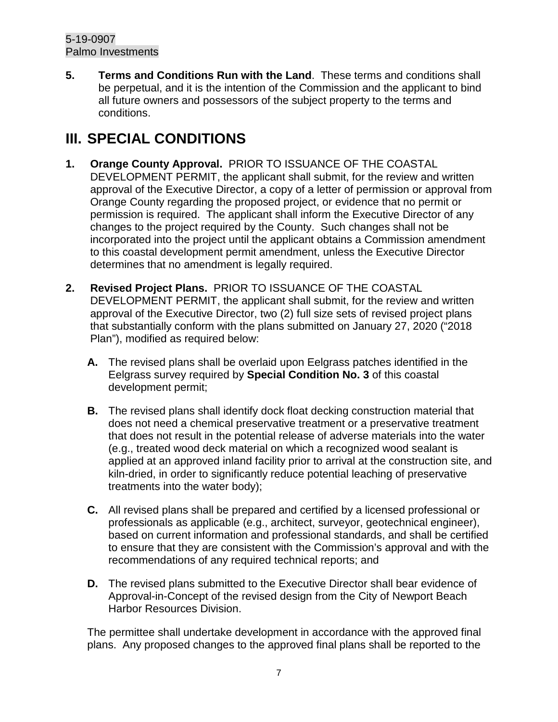**5. Terms and Conditions Run with the Land**. These terms and conditions shall be perpetual, and it is the intention of the Commission and the applicant to bind all future owners and possessors of the subject property to the terms and conditions.

# <span id="page-6-0"></span>**III. SPECIAL CONDITIONS**

- **1. Orange County Approval.** PRIOR TO ISSUANCE OF THE COASTAL DEVELOPMENT PERMIT, the applicant shall submit, for the review and written approval of the Executive Director, a copy of a letter of permission or approval from Orange County regarding the proposed project, or evidence that no permit or permission is required. The applicant shall inform the Executive Director of any changes to the project required by the County. Such changes shall not be incorporated into the project until the applicant obtains a Commission amendment to this coastal development permit amendment, unless the Executive Director determines that no amendment is legally required.
- **2. Revised Project Plans.** PRIOR TO ISSUANCE OF THE COASTAL DEVELOPMENT PERMIT, the applicant shall submit, for the review and written approval of the Executive Director, two (2) full size sets of revised project plans that substantially conform with the plans submitted on January 27, 2020 ("2018 Plan"), modified as required below:
	- **A.** The revised plans shall be overlaid upon Eelgrass patches identified in the Eelgrass survey required by **Special Condition No. 3** of this coastal development permit;
	- **B.** The revised plans shall identify dock float decking construction material that does not need a chemical preservative treatment or a preservative treatment that does not result in the potential release of adverse materials into the water (e.g., treated wood deck material on which a recognized wood sealant is applied at an approved inland facility prior to arrival at the construction site, and kiln-dried, in order to significantly reduce potential leaching of preservative treatments into the water body);
	- **C.** All revised plans shall be prepared and certified by a licensed professional or professionals as applicable (e.g., architect, surveyor, geotechnical engineer), based on current information and professional standards, and shall be certified to ensure that they are consistent with the Commission's approval and with the recommendations of any required technical reports; and
	- **D.** The revised plans submitted to the Executive Director shall bear evidence of Approval-in-Concept of the revised design from the City of Newport Beach Harbor Resources Division.

The permittee shall undertake development in accordance with the approved final plans. Any proposed changes to the approved final plans shall be reported to the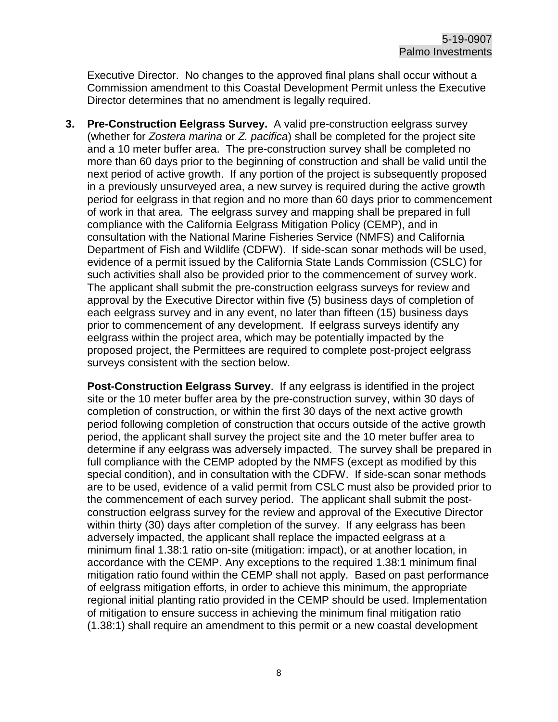Executive Director. No changes to the approved final plans shall occur without a Commission amendment to this Coastal Development Permit unless the Executive Director determines that no amendment is legally required.

**3. Pre-Construction Eelgrass Survey.** A valid pre-construction eelgrass survey (whether for *Zostera marina* or *Z. pacifica*) shall be completed for the project site and a 10 meter buffer area. The pre-construction survey shall be completed no more than 60 days prior to the beginning of construction and shall be valid until the next period of active growth. If any portion of the project is subsequently proposed in a previously unsurveyed area, a new survey is required during the active growth period for eelgrass in that region and no more than 60 days prior to commencement of work in that area. The eelgrass survey and mapping shall be prepared in full compliance with the California Eelgrass Mitigation Policy (CEMP), and in consultation with the National Marine Fisheries Service (NMFS) and California Department of Fish and Wildlife (CDFW). If side-scan sonar methods will be used, evidence of a permit issued by the California State Lands Commission (CSLC) for such activities shall also be provided prior to the commencement of survey work. The applicant shall submit the pre-construction eelgrass surveys for review and approval by the Executive Director within five (5) business days of completion of each eelgrass survey and in any event, no later than fifteen (15) business days prior to commencement of any development. If eelgrass surveys identify any eelgrass within the project area, which may be potentially impacted by the proposed project, the Permittees are required to complete post-project eelgrass surveys consistent with the section below.

**Post-Construction Eelgrass Survey**. If any eelgrass is identified in the project site or the 10 meter buffer area by the pre-construction survey, within 30 days of completion of construction, or within the first 30 days of the next active growth period following completion of construction that occurs outside of the active growth period, the applicant shall survey the project site and the 10 meter buffer area to determine if any eelgrass was adversely impacted. The survey shall be prepared in full compliance with the CEMP adopted by the NMFS (except as modified by this special condition), and in consultation with the CDFW. If side-scan sonar methods are to be used, evidence of a valid permit from CSLC must also be provided prior to the commencement of each survey period. The applicant shall submit the postconstruction eelgrass survey for the review and approval of the Executive Director within thirty (30) days after completion of the survey. If any eelgrass has been adversely impacted, the applicant shall replace the impacted eelgrass at a minimum final 1.38:1 ratio on-site (mitigation: impact), or at another location, in accordance with the CEMP. Any exceptions to the required 1.38:1 minimum final mitigation ratio found within the CEMP shall not apply. Based on past performance of eelgrass mitigation efforts, in order to achieve this minimum, the appropriate regional initial planting ratio provided in the CEMP should be used. Implementation of mitigation to ensure success in achieving the minimum final mitigation ratio (1.38:1) shall require an amendment to this permit or a new coastal development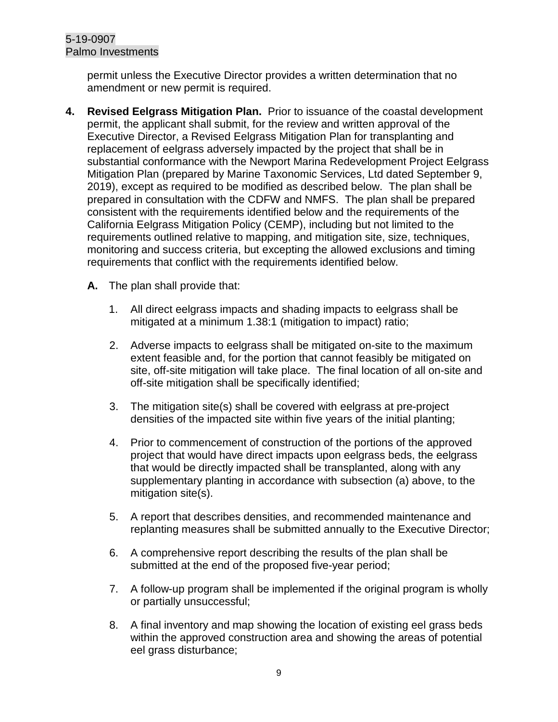permit unless the Executive Director provides a written determination that no amendment or new permit is required.

- **4. Revised Eelgrass Mitigation Plan.** Prior to issuance of the coastal development permit, the applicant shall submit, for the review and written approval of the Executive Director, a Revised Eelgrass Mitigation Plan for transplanting and replacement of eelgrass adversely impacted by the project that shall be in substantial conformance with the Newport Marina Redevelopment Project Eelgrass Mitigation Plan (prepared by Marine Taxonomic Services, Ltd dated September 9, 2019), except as required to be modified as described below. The plan shall be prepared in consultation with the CDFW and NMFS. The plan shall be prepared consistent with the requirements identified below and the requirements of the California Eelgrass Mitigation Policy (CEMP), including but not limited to the requirements outlined relative to mapping, and mitigation site, size, techniques, monitoring and success criteria, but excepting the allowed exclusions and timing requirements that conflict with the requirements identified below.
	- **A.** The plan shall provide that:
		- 1. All direct eelgrass impacts and shading impacts to eelgrass shall be mitigated at a minimum 1.38:1 (mitigation to impact) ratio;
		- 2. Adverse impacts to eelgrass shall be mitigated on-site to the maximum extent feasible and, for the portion that cannot feasibly be mitigated on site, off-site mitigation will take place. The final location of all on-site and off-site mitigation shall be specifically identified;
		- 3. The mitigation site(s) shall be covered with eelgrass at pre-project densities of the impacted site within five years of the initial planting;
		- 4. Prior to commencement of construction of the portions of the approved project that would have direct impacts upon eelgrass beds, the eelgrass that would be directly impacted shall be transplanted, along with any supplementary planting in accordance with subsection (a) above, to the mitigation site(s).
		- 5. A report that describes densities, and recommended maintenance and replanting measures shall be submitted annually to the Executive Director;
		- 6. A comprehensive report describing the results of the plan shall be submitted at the end of the proposed five-year period;
		- 7. A follow-up program shall be implemented if the original program is wholly or partially unsuccessful;
		- 8. A final inventory and map showing the location of existing eel grass beds within the approved construction area and showing the areas of potential eel grass disturbance;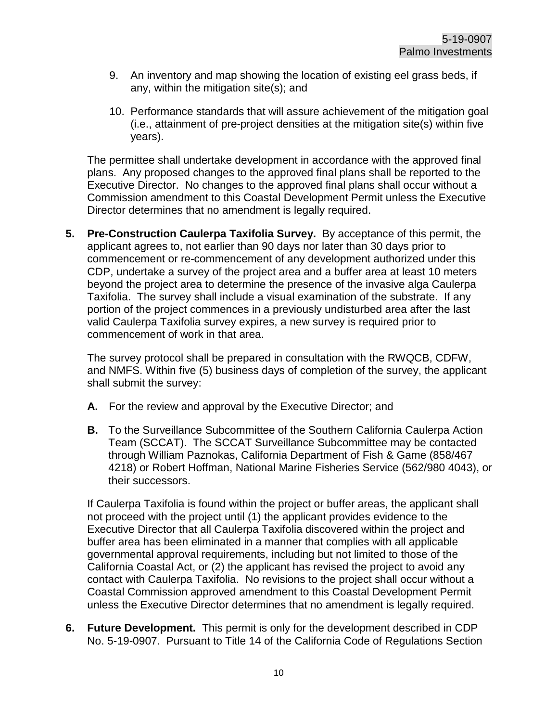- 9. An inventory and map showing the location of existing eel grass beds, if any, within the mitigation site(s); and
- 10. Performance standards that will assure achievement of the mitigation goal (i.e., attainment of pre-project densities at the mitigation site(s) within five years).

The permittee shall undertake development in accordance with the approved final plans. Any proposed changes to the approved final plans shall be reported to the Executive Director. No changes to the approved final plans shall occur without a Commission amendment to this Coastal Development Permit unless the Executive Director determines that no amendment is legally required.

**5. Pre-Construction Caulerpa Taxifolia Survey.** By acceptance of this permit, the applicant agrees to, not earlier than 90 days nor later than 30 days prior to commencement or re-commencement of any development authorized under this CDP, undertake a survey of the project area and a buffer area at least 10 meters beyond the project area to determine the presence of the invasive alga Caulerpa Taxifolia. The survey shall include a visual examination of the substrate. If any portion of the project commences in a previously undisturbed area after the last valid Caulerpa Taxifolia survey expires, a new survey is required prior to commencement of work in that area.

The survey protocol shall be prepared in consultation with the RWQCB, CDFW, and NMFS. Within five (5) business days of completion of the survey, the applicant shall submit the survey:

- **A.** For the review and approval by the Executive Director; and
- **B.** To the Surveillance Subcommittee of the Southern California Caulerpa Action Team (SCCAT). The SCCAT Surveillance Subcommittee may be contacted through William Paznokas, California Department of Fish & Game (858/467 4218) or Robert Hoffman, National Marine Fisheries Service (562/980 4043), or their successors.

If Caulerpa Taxifolia is found within the project or buffer areas, the applicant shall not proceed with the project until (1) the applicant provides evidence to the Executive Director that all Caulerpa Taxifolia discovered within the project and buffer area has been eliminated in a manner that complies with all applicable governmental approval requirements, including but not limited to those of the California Coastal Act, or (2) the applicant has revised the project to avoid any contact with Caulerpa Taxifolia. No revisions to the project shall occur without a Coastal Commission approved amendment to this Coastal Development Permit unless the Executive Director determines that no amendment is legally required.

**6. Future Development.** This permit is only for the development described in CDP No. 5-19-0907. Pursuant to Title 14 of the California Code of Regulations Section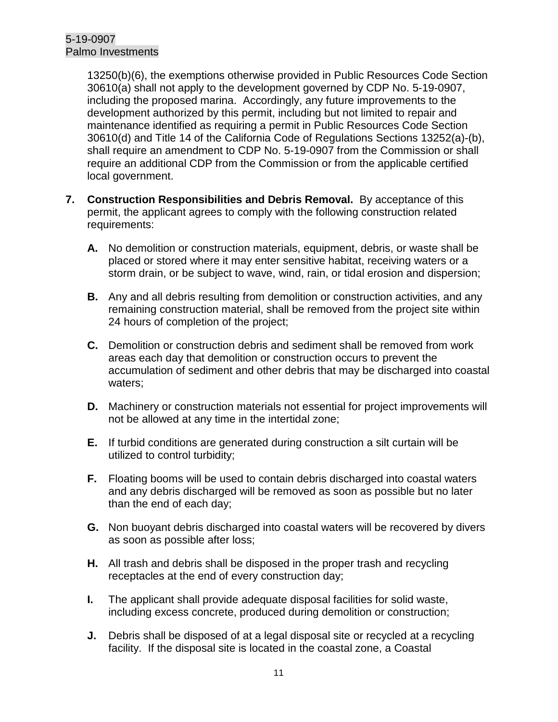13250(b)(6), the exemptions otherwise provided in Public Resources Code Section 30610(a) shall not apply to the development governed by CDP No. 5-19-0907, including the proposed marina. Accordingly, any future improvements to the development authorized by this permit, including but not limited to repair and maintenance identified as requiring a permit in Public Resources Code Section 30610(d) and Title 14 of the California Code of Regulations Sections 13252(a)-(b), shall require an amendment to CDP No. 5-19-0907 from the Commission or shall require an additional CDP from the Commission or from the applicable certified local government.

- **7. Construction Responsibilities and Debris Removal.** By acceptance of this permit, the applicant agrees to comply with the following construction related requirements:
	- **A.** No demolition or construction materials, equipment, debris, or waste shall be placed or stored where it may enter sensitive habitat, receiving waters or a storm drain, or be subject to wave, wind, rain, or tidal erosion and dispersion;
	- **B.** Any and all debris resulting from demolition or construction activities, and any remaining construction material, shall be removed from the project site within 24 hours of completion of the project;
	- **C.** Demolition or construction debris and sediment shall be removed from work areas each day that demolition or construction occurs to prevent the accumulation of sediment and other debris that may be discharged into coastal waters;
	- **D.** Machinery or construction materials not essential for project improvements will not be allowed at any time in the intertidal zone;
	- **E.** If turbid conditions are generated during construction a silt curtain will be utilized to control turbidity;
	- **F.** Floating booms will be used to contain debris discharged into coastal waters and any debris discharged will be removed as soon as possible but no later than the end of each day;
	- **G.** Non buoyant debris discharged into coastal waters will be recovered by divers as soon as possible after loss;
	- **H.** All trash and debris shall be disposed in the proper trash and recycling receptacles at the end of every construction day;
	- **I.** The applicant shall provide adequate disposal facilities for solid waste, including excess concrete, produced during demolition or construction;
	- **J.** Debris shall be disposed of at a legal disposal site or recycled at a recycling facility. If the disposal site is located in the coastal zone, a Coastal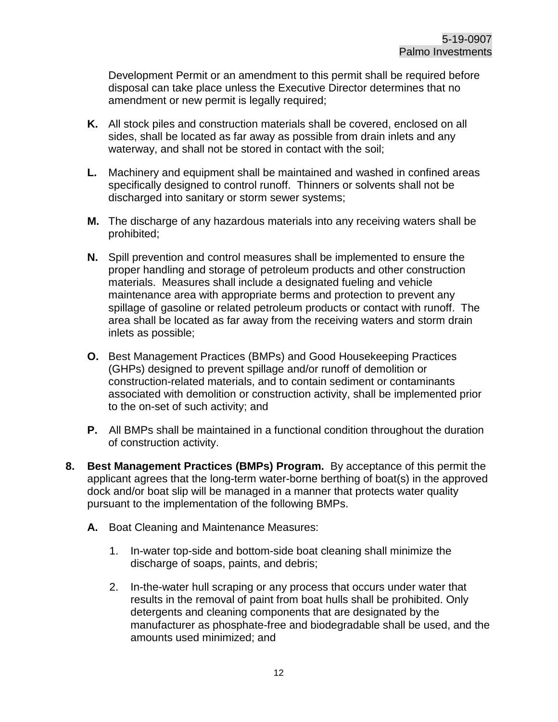Development Permit or an amendment to this permit shall be required before disposal can take place unless the Executive Director determines that no amendment or new permit is legally required;

- **K.** All stock piles and construction materials shall be covered, enclosed on all sides, shall be located as far away as possible from drain inlets and any waterway, and shall not be stored in contact with the soil;
- **L.** Machinery and equipment shall be maintained and washed in confined areas specifically designed to control runoff. Thinners or solvents shall not be discharged into sanitary or storm sewer systems;
- **M.** The discharge of any hazardous materials into any receiving waters shall be prohibited;
- **N.** Spill prevention and control measures shall be implemented to ensure the proper handling and storage of petroleum products and other construction materials. Measures shall include a designated fueling and vehicle maintenance area with appropriate berms and protection to prevent any spillage of gasoline or related petroleum products or contact with runoff. The area shall be located as far away from the receiving waters and storm drain inlets as possible;
- **O.** Best Management Practices (BMPs) and Good Housekeeping Practices (GHPs) designed to prevent spillage and/or runoff of demolition or construction-related materials, and to contain sediment or contaminants associated with demolition or construction activity, shall be implemented prior to the on-set of such activity; and
- **P.** All BMPs shall be maintained in a functional condition throughout the duration of construction activity.
- **8. Best Management Practices (BMPs) Program.** By acceptance of this permit the applicant agrees that the long-term water-borne berthing of boat(s) in the approved dock and/or boat slip will be managed in a manner that protects water quality pursuant to the implementation of the following BMPs.
	- **A.** Boat Cleaning and Maintenance Measures:
		- 1. In-water top-side and bottom-side boat cleaning shall minimize the discharge of soaps, paints, and debris;
		- 2. In-the-water hull scraping or any process that occurs under water that results in the removal of paint from boat hulls shall be prohibited. Only detergents and cleaning components that are designated by the manufacturer as phosphate-free and biodegradable shall be used, and the amounts used minimized; and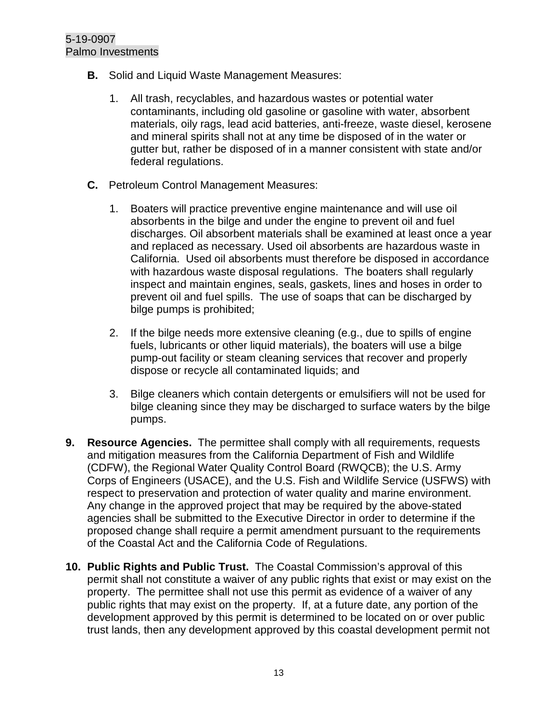- **B.** Solid and Liquid Waste Management Measures:
	- 1. All trash, recyclables, and hazardous wastes or potential water contaminants, including old gasoline or gasoline with water, absorbent materials, oily rags, lead acid batteries, anti-freeze, waste diesel, kerosene and mineral spirits shall not at any time be disposed of in the water or gutter but, rather be disposed of in a manner consistent with state and/or federal regulations.
- **C.** Petroleum Control Management Measures:
	- 1. Boaters will practice preventive engine maintenance and will use oil absorbents in the bilge and under the engine to prevent oil and fuel discharges. Oil absorbent materials shall be examined at least once a year and replaced as necessary. Used oil absorbents are hazardous waste in California. Used oil absorbents must therefore be disposed in accordance with hazardous waste disposal regulations. The boaters shall regularly inspect and maintain engines, seals, gaskets, lines and hoses in order to prevent oil and fuel spills. The use of soaps that can be discharged by bilge pumps is prohibited;
	- 2. If the bilge needs more extensive cleaning (e.g., due to spills of engine fuels, lubricants or other liquid materials), the boaters will use a bilge pump-out facility or steam cleaning services that recover and properly dispose or recycle all contaminated liquids; and
	- 3. Bilge cleaners which contain detergents or emulsifiers will not be used for bilge cleaning since they may be discharged to surface waters by the bilge pumps.
- **9. Resource Agencies.** The permittee shall comply with all requirements, requests and mitigation measures from the California Department of Fish and Wildlife (CDFW), the Regional Water Quality Control Board (RWQCB); the U.S. Army Corps of Engineers (USACE), and the U.S. Fish and Wildlife Service (USFWS) with respect to preservation and protection of water quality and marine environment. Any change in the approved project that may be required by the above-stated agencies shall be submitted to the Executive Director in order to determine if the proposed change shall require a permit amendment pursuant to the requirements of the Coastal Act and the California Code of Regulations.
- **10. Public Rights and Public Trust.** The Coastal Commission's approval of this permit shall not constitute a waiver of any public rights that exist or may exist on the property. The permittee shall not use this permit as evidence of a waiver of any public rights that may exist on the property. If, at a future date, any portion of the development approved by this permit is determined to be located on or over public trust lands, then any development approved by this coastal development permit not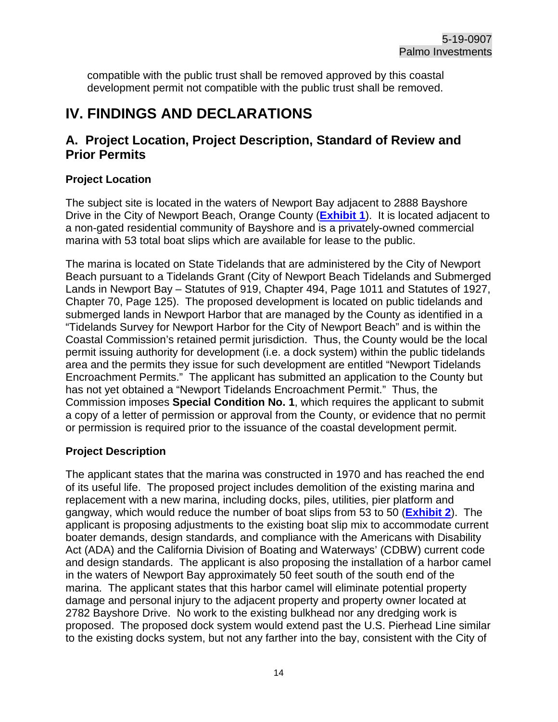compatible with the public trust shall be removed approved by this coastal development permit not compatible with the public trust shall be removed.

# <span id="page-13-0"></span>**IV. FINDINGS AND DECLARATIONS**

# <span id="page-13-1"></span>**A. Project Location, Project Description, Standard of Review and Prior Permits**

## **Project Location**

The subject site is located in the waters of Newport Bay adjacent to 2888 Bayshore Drive in the City of Newport Beach, Orange County (**[Exhibit 1](https://documents.coastal.ca.gov/reports/2020/3/Th12d/Th12d-3-2020-exhibits.pdf)**). It is located adjacent to a non-gated residential community of Bayshore and is a privately-owned commercial marina with 53 total boat slips which are available for lease to the public.

The marina is located on State Tidelands that are administered by the City of Newport Beach pursuant to a Tidelands Grant (City of Newport Beach Tidelands and Submerged Lands in Newport Bay – Statutes of 919, Chapter 494, Page 1011 and Statutes of 1927, Chapter 70, Page 125). The proposed development is located on public tidelands and submerged lands in Newport Harbor that are managed by the County as identified in a "Tidelands Survey for Newport Harbor for the City of Newport Beach" and is within the Coastal Commission's retained permit jurisdiction. Thus, the County would be the local permit issuing authority for development (i.e. a dock system) within the public tidelands area and the permits they issue for such development are entitled "Newport Tidelands Encroachment Permits." The applicant has submitted an application to the County but has not yet obtained a "Newport Tidelands Encroachment Permit." Thus, the Commission imposes **Special Condition No. 1**, which requires the applicant to submit a copy of a letter of permission or approval from the County, or evidence that no permit or permission is required prior to the issuance of the coastal development permit.

# **Project Description**

The applicant states that the marina was constructed in 1970 and has reached the end of its useful life. The proposed project includes demolition of the existing marina and replacement with a new marina, including docks, piles, utilities, pier platform and gangway, which would reduce the number of boat slips from 53 to 50 (**[Exhibit 2](https://documents.coastal.ca.gov/reports/2020/3/Th12d/Th12d-3-2020-exhibits.pdf)**). The applicant is proposing adjustments to the existing boat slip mix to accommodate current boater demands, design standards, and compliance with the Americans with Disability Act (ADA) and the California Division of Boating and Waterways' (CDBW) current code and design standards. The applicant is also proposing the installation of a harbor camel in the waters of Newport Bay approximately 50 feet south of the south end of the marina. The applicant states that this harbor camel will eliminate potential property damage and personal injury to the adjacent property and property owner located at 2782 Bayshore Drive. No work to the existing bulkhead nor any dredging work is proposed. The proposed dock system would extend past the U.S. Pierhead Line similar to the existing docks system, but not any farther into the bay, consistent with the City of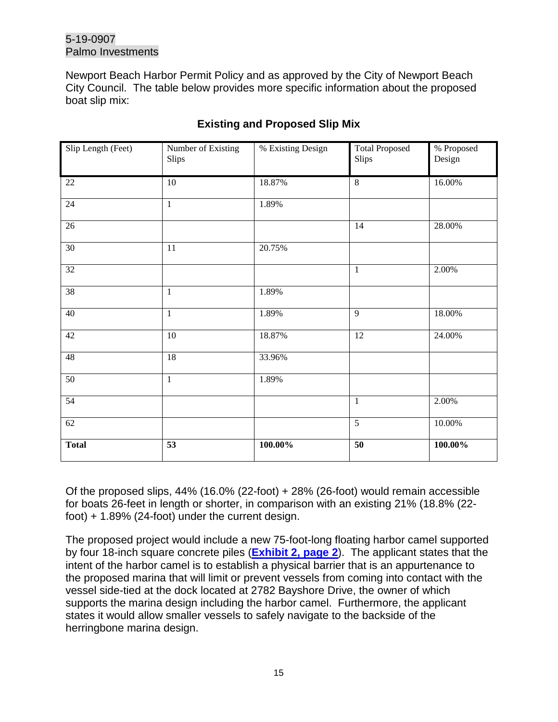Newport Beach Harbor Permit Policy and as approved by the City of Newport Beach City Council. The table below provides more specific information about the proposed boat slip mix:

| Slip Length (Feet) | Number of Existing<br>Slips | % Existing Design | <b>Total Proposed</b><br>Slips | % Proposed<br>Design |
|--------------------|-----------------------------|-------------------|--------------------------------|----------------------|
| $22\,$             | 10                          | 18.87%            | 8                              | 16.00%               |
| $24\,$             | $\mathbf{1}$                | 1.89%             |                                |                      |
| $26\,$             |                             |                   | 14                             | 28.00%               |
| $\overline{30}$    | 11                          | 20.75%            |                                |                      |
| 32                 |                             |                   | $\mathbf{1}$                   | 2.00%                |
| 38                 | $\mathbf{1}$                | 1.89%             |                                |                      |
| 40                 | $\mathbf{1}$                | 1.89%             | 9                              | 18.00%               |
| 42                 | $10\,$                      | 18.87%            | 12                             | 24.00%               |
| 48                 | 18                          | 33.96%            |                                |                      |
| $\overline{50}$    | $\mathbf{1}$                | 1.89%             |                                |                      |
| 54                 |                             |                   | $\mathbf{1}$                   | 2.00%                |
| 62                 |                             |                   | $\overline{5}$                 | 10.00%               |
| <b>Total</b>       | $\overline{53}$             | $100.00\%$        | $\overline{50}$                | 100.00%              |

# **Existing and Proposed Slip Mix**

Of the proposed slips, 44% (16.0% (22-foot) + 28% (26-foot) would remain accessible for boats 26-feet in length or shorter, in comparison with an existing 21% (18.8% (22 foot) + 1.89% (24-foot) under the current design.

The proposed project would include a new 75-foot-long floating harbor camel supported by four 18-inch square concrete piles (**[Exhibit 2, page 2](https://documents.coastal.ca.gov/reports/2020/3/Th12d/Th12d-3-2020-exhibits.pdf)**). The applicant states that the intent of the harbor camel is to establish a physical barrier that is an appurtenance to the proposed marina that will limit or prevent vessels from coming into contact with the vessel side-tied at the dock located at 2782 Bayshore Drive, the owner of which supports the marina design including the harbor camel. Furthermore, the applicant states it would allow smaller vessels to safely navigate to the backside of the herringbone marina design.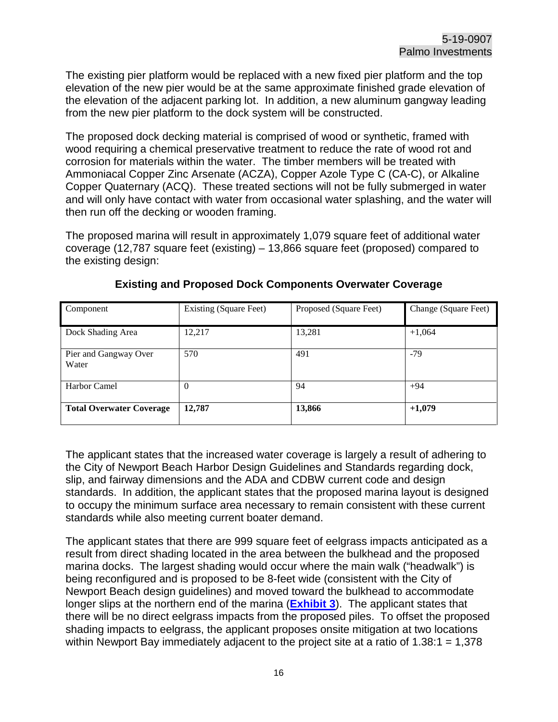The existing pier platform would be replaced with a new fixed pier platform and the top elevation of the new pier would be at the same approximate finished grade elevation of the elevation of the adjacent parking lot. In addition, a new aluminum gangway leading from the new pier platform to the dock system will be constructed.

The proposed dock decking material is comprised of wood or synthetic, framed with wood requiring a chemical preservative treatment to reduce the rate of wood rot and corrosion for materials within the water. The timber members will be treated with Ammoniacal Copper Zinc Arsenate (ACZA), Copper Azole Type C (CA-C), or Alkaline Copper Quaternary (ACQ). These treated sections will not be fully submerged in water and will only have contact with water from occasional water splashing, and the water will then run off the decking or wooden framing.

The proposed marina will result in approximately 1,079 square feet of additional water coverage (12,787 square feet (existing) – 13,866 square feet (proposed) compared to the existing design:

| Component                       | <b>Existing (Square Feet)</b> | Proposed (Square Feet) | Change (Square Feet) |
|---------------------------------|-------------------------------|------------------------|----------------------|
| Dock Shading Area               | 12,217                        | 13,281                 | $+1,064$             |
| Pier and Gangway Over<br>Water  | 570                           | 491                    | -79                  |
| Harbor Camel                    | $\theta$                      | 94                     | $+94$                |
| <b>Total Overwater Coverage</b> | 12,787                        | 13,866                 | $+1,079$             |

## **Existing and Proposed Dock Components Overwater Coverage**

The applicant states that the increased water coverage is largely a result of adhering to the City of Newport Beach Harbor Design Guidelines and Standards regarding dock, slip, and fairway dimensions and the ADA and CDBW current code and design standards. In addition, the applicant states that the proposed marina layout is designed to occupy the minimum surface area necessary to remain consistent with these current standards while also meeting current boater demand.

The applicant states that there are 999 square feet of eelgrass impacts anticipated as a result from direct shading located in the area between the bulkhead and the proposed marina docks. The largest shading would occur where the main walk ("headwalk") is being reconfigured and is proposed to be 8-feet wide (consistent with the City of Newport Beach design guidelines) and moved toward the bulkhead to accommodate longer slips at the northern end of the marina (**[Exhibit 3](https://documents.coastal.ca.gov/reports/2020/3/Th12d/Th12d-3-2020-exhibits.pdf)**). The applicant states that there will be no direct eelgrass impacts from the proposed piles. To offset the proposed shading impacts to eelgrass, the applicant proposes onsite mitigation at two locations within Newport Bay immediately adjacent to the project site at a ratio of 1.38:1 = 1,378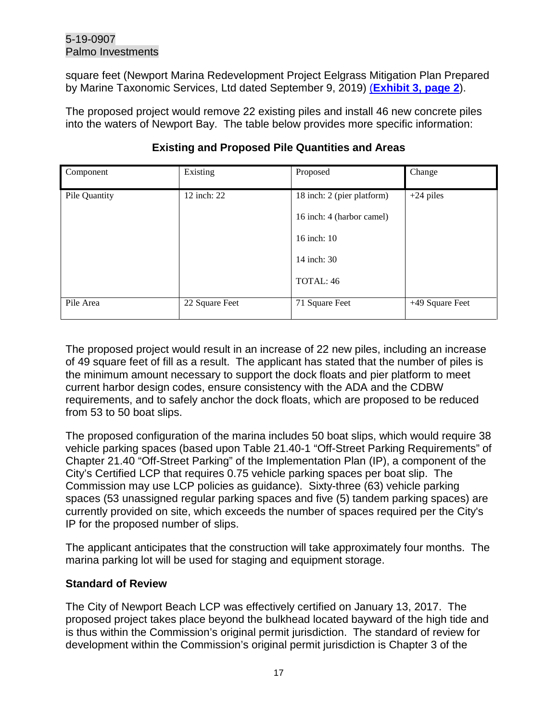square feet (Newport Marina Redevelopment Project Eelgrass Mitigation Plan Prepared by Marine Taxonomic Services, Ltd dated September 9, 2019) (**[Exhibit 3, page 2](https://documents.coastal.ca.gov/reports/2020/3/Th12d/Th12d-3-2020-exhibits.pdf)**).

The proposed project would remove 22 existing piles and install 46 new concrete piles into the waters of Newport Bay. The table below provides more specific information:

| Component     | Existing       | Proposed                   | Change          |
|---------------|----------------|----------------------------|-----------------|
| Pile Quantity | 12 inch: 22    | 18 inch: 2 (pier platform) | $+24$ piles     |
|               |                | 16 inch: 4 (harbor camel)  |                 |
|               |                | 16 inch: 10                |                 |
|               |                | 14 inch: 30                |                 |
|               |                | TOTAL: 46                  |                 |
| Pile Area     | 22 Square Feet | 71 Square Feet             | +49 Square Feet |

## **Existing and Proposed Pile Quantities and Areas**

The proposed project would result in an increase of 22 new piles, including an increase of 49 square feet of fill as a result. The applicant has stated that the number of piles is the minimum amount necessary to support the dock floats and pier platform to meet current harbor design codes, ensure consistency with the ADA and the CDBW requirements, and to safely anchor the dock floats, which are proposed to be reduced from 53 to 50 boat slips.

The proposed configuration of the marina includes 50 boat slips, which would require 38 vehicle parking spaces (based upon Table 21.40-1 "Off-Street Parking Requirements" of Chapter 21.40 "Off-Street Parking" of the Implementation Plan (IP), a component of the City's Certified LCP that requires 0.75 vehicle parking spaces per boat slip. The Commission may use LCP policies as guidance). Sixty-three (63) vehicle parking spaces (53 unassigned regular parking spaces and five (5) tandem parking spaces) are currently provided on site, which exceeds the number of spaces required per the City's IP for the proposed number of slips.

The applicant anticipates that the construction will take approximately four months. The marina parking lot will be used for staging and equipment storage.

## **Standard of Review**

The City of Newport Beach LCP was effectively certified on January 13, 2017. The proposed project takes place beyond the bulkhead located bayward of the high tide and is thus within the Commission's original permit jurisdiction. The standard of review for development within the Commission's original permit jurisdiction is Chapter 3 of the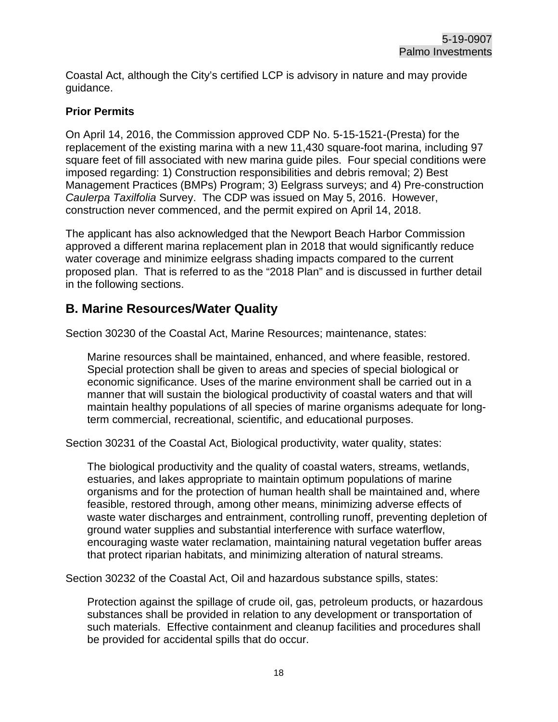Coastal Act, although the City's certified LCP is advisory in nature and may provide guidance.

#### **Prior Permits**

On April 14, 2016, the Commission approved CDP No. 5-15-1521-(Presta) for the replacement of the existing marina with a new 11,430 square-foot marina, including 97 square feet of fill associated with new marina guide piles. Four special conditions were imposed regarding: 1) Construction responsibilities and debris removal; 2) Best Management Practices (BMPs) Program; 3) Eelgrass surveys; and 4) Pre-construction *Caulerpa Taxilfolia* Survey. The CDP was issued on May 5, 2016. However, construction never commenced, and the permit expired on April 14, 2018.

The applicant has also acknowledged that the Newport Beach Harbor Commission approved a different marina replacement plan in 2018 that would significantly reduce water coverage and minimize eelgrass shading impacts compared to the current proposed plan. That is referred to as the "2018 Plan" and is discussed in further detail in the following sections.

# <span id="page-17-0"></span>**B. Marine Resources/Water Quality**

Section 30230 of the Coastal Act, Marine Resources; maintenance, states:

Marine resources shall be maintained, enhanced, and where feasible, restored. Special protection shall be given to areas and species of special biological or economic significance. Uses of the marine environment shall be carried out in a manner that will sustain the biological productivity of coastal waters and that will maintain healthy populations of all species of marine organisms adequate for longterm commercial, recreational, scientific, and educational purposes.

Section 30231 of the Coastal Act, Biological productivity, water quality, states:

The biological productivity and the quality of coastal waters, streams, wetlands, estuaries, and lakes appropriate to maintain optimum populations of marine organisms and for the protection of human health shall be maintained and, where feasible, restored through, among other means, minimizing adverse effects of waste water discharges and entrainment, controlling runoff, preventing depletion of ground water supplies and substantial interference with surface waterflow, encouraging waste water reclamation, maintaining natural vegetation buffer areas that protect riparian habitats, and minimizing alteration of natural streams.

Section 30232 of the Coastal Act, Oil and hazardous substance spills, states:

Protection against the spillage of crude oil, gas, petroleum products, or hazardous substances shall be provided in relation to any development or transportation of such materials. Effective containment and cleanup facilities and procedures shall be provided for accidental spills that do occur.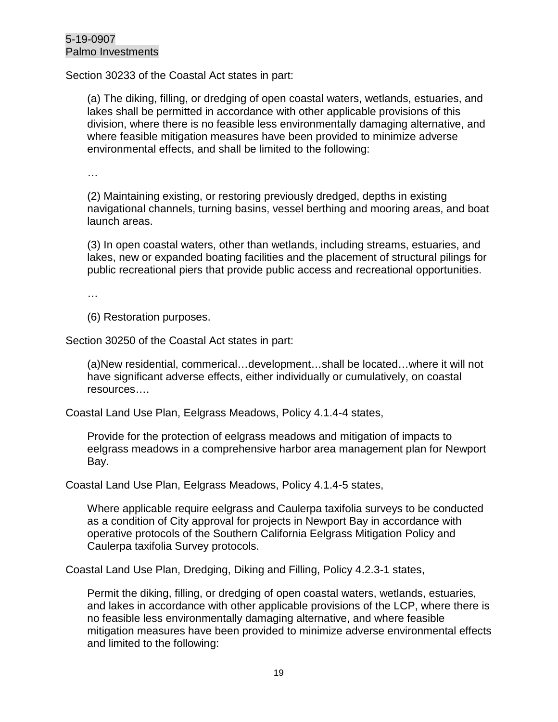Section 30233 of the Coastal Act states in part:

(a) The diking, filling, or dredging of open coastal waters, wetlands, estuaries, and lakes shall be permitted in accordance with other applicable provisions of this division, where there is no feasible less environmentally damaging alternative, and where feasible mitigation measures have been provided to minimize adverse environmental effects, and shall be limited to the following:

…

(2) Maintaining existing, or restoring previously dredged, depths in existing navigational channels, turning basins, vessel berthing and mooring areas, and boat launch areas.

(3) In open coastal waters, other than wetlands, including streams, estuaries, and lakes, new or expanded boating facilities and the placement of structural pilings for public recreational piers that provide public access and recreational opportunities.

…

(6) Restoration purposes.

Section 30250 of the Coastal Act states in part:

(a)New residential, commerical…development…shall be located…where it will not have significant adverse effects, either individually or cumulatively, on coastal resources….

Coastal Land Use Plan, Eelgrass Meadows, Policy 4.1.4-4 states,

Provide for the protection of eelgrass meadows and mitigation of impacts to eelgrass meadows in a comprehensive harbor area management plan for Newport Bay.

Coastal Land Use Plan, Eelgrass Meadows, Policy 4.1.4-5 states,

Where applicable require eelgrass and Caulerpa taxifolia surveys to be conducted as a condition of City approval for projects in Newport Bay in accordance with operative protocols of the Southern California Eelgrass Mitigation Policy and Caulerpa taxifolia Survey protocols.

Coastal Land Use Plan, Dredging, Diking and Filling, Policy 4.2.3-1 states,

Permit the diking, filling, or dredging of open coastal waters, wetlands, estuaries, and lakes in accordance with other applicable provisions of the LCP, where there is no feasible less environmentally damaging alternative, and where feasible mitigation measures have been provided to minimize adverse environmental effects and limited to the following: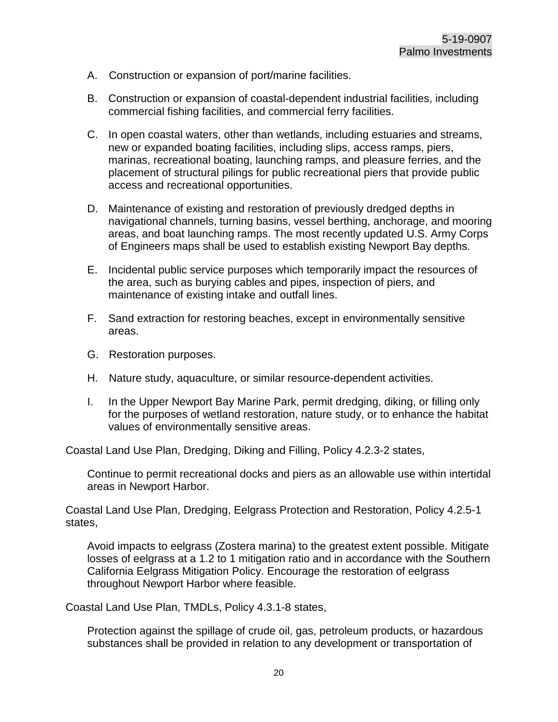- A. Construction or expansion of port/marine facilities.
- B. Construction or expansion of coastal-dependent industrial facilities, including commercial fishing facilities, and commercial ferry facilities.
- C. In open coastal waters, other than wetlands, including estuaries and streams, new or expanded boating facilities, including slips, access ramps, piers, marinas, recreational boating, launching ramps, and pleasure ferries, and the placement of structural pilings for public recreational piers that provide public access and recreational opportunities.
- D. Maintenance of existing and restoration of previously dredged depths in navigational channels, turning basins, vessel berthing, anchorage, and mooring areas, and boat launching ramps. The most recently updated U.S. Army Corps of Engineers maps shall be used to establish existing Newport Bay depths.
- E. Incidental public service purposes which temporarily impact the resources of the area, such as burying cables and pipes, inspection of piers, and maintenance of existing intake and outfall lines.
- F. Sand extraction for restoring beaches, except in environmentally sensitive areas.
- G. Restoration purposes.
- H. Nature study, aquaculture, or similar resource-dependent activities.
- I. In the Upper Newport Bay Marine Park, permit dredging, diking, or filling only for the purposes of wetland restoration, nature study, or to enhance the habitat values of environmentally sensitive areas.

Coastal Land Use Plan, Dredging, Diking and Filling, Policy 4.2.3-2 states,

Continue to permit recreational docks and piers as an allowable use within intertidal areas in Newport Harbor.

Coastal Land Use Plan, Dredging, Eelgrass Protection and Restoration, Policy 4.2.5-1 states,

Avoid impacts to eelgrass (Zostera marina) to the greatest extent possible. Mitigate losses of eelgrass at a 1.2 to 1 mitigation ratio and in accordance with the Southern California Eelgrass Mitigation Policy. Encourage the restoration of eelgrass throughout Newport Harbor where feasible.

Coastal Land Use Plan, TMDLs, Policy 4.3.1-8 states,

Protection against the spillage of crude oil, gas, petroleum products, or hazardous substances shall be provided in relation to any development or transportation of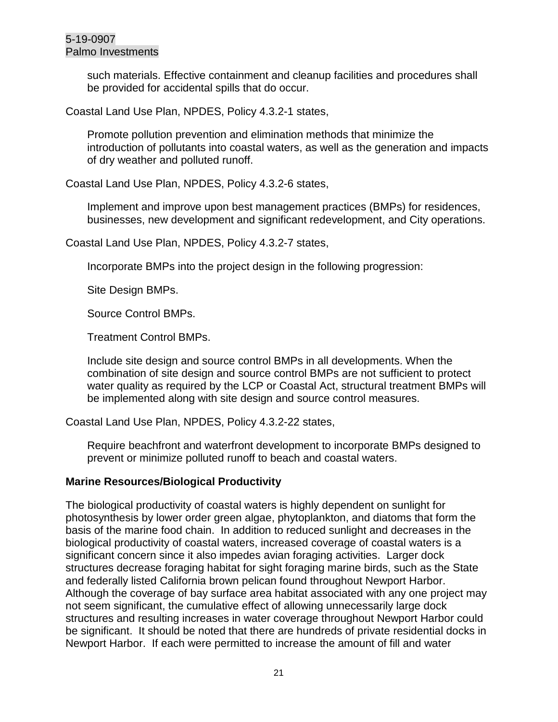such materials. Effective containment and cleanup facilities and procedures shall be provided for accidental spills that do occur.

Coastal Land Use Plan, NPDES, Policy 4.3.2-1 states,

Promote pollution prevention and elimination methods that minimize the introduction of pollutants into coastal waters, as well as the generation and impacts of dry weather and polluted runoff.

Coastal Land Use Plan, NPDES, Policy 4.3.2-6 states,

Implement and improve upon best management practices (BMPs) for residences, businesses, new development and significant redevelopment, and City operations.

Coastal Land Use Plan, NPDES, Policy 4.3.2-7 states,

Incorporate BMPs into the project design in the following progression:

Site Design BMPs.

Source Control BMPs.

Treatment Control BMPs.

Include site design and source control BMPs in all developments. When the combination of site design and source control BMPs are not sufficient to protect water quality as required by the LCP or Coastal Act, structural treatment BMPs will be implemented along with site design and source control measures.

Coastal Land Use Plan, NPDES, Policy 4.3.2-22 states,

Require beachfront and waterfront development to incorporate BMPs designed to prevent or minimize polluted runoff to beach and coastal waters.

#### **Marine Resources/Biological Productivity**

The biological productivity of coastal waters is highly dependent on sunlight for photosynthesis by lower order green algae, phytoplankton, and diatoms that form the basis of the marine food chain. In addition to reduced sunlight and decreases in the biological productivity of coastal waters, increased coverage of coastal waters is a significant concern since it also impedes avian foraging activities. Larger dock structures decrease foraging habitat for sight foraging marine birds, such as the State and federally listed California brown pelican found throughout Newport Harbor. Although the coverage of bay surface area habitat associated with any one project may not seem significant, the cumulative effect of allowing unnecessarily large dock structures and resulting increases in water coverage throughout Newport Harbor could be significant. It should be noted that there are hundreds of private residential docks in Newport Harbor. If each were permitted to increase the amount of fill and water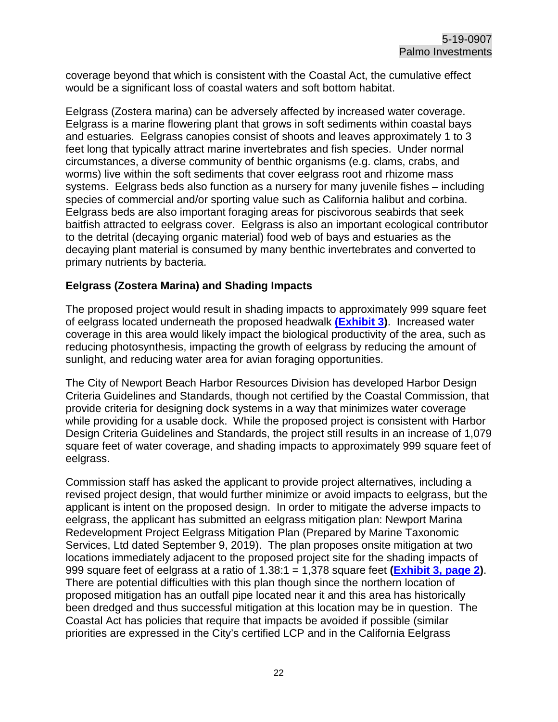coverage beyond that which is consistent with the Coastal Act, the cumulative effect would be a significant loss of coastal waters and soft bottom habitat.

Eelgrass (Zostera marina) can be adversely affected by increased water coverage. Eelgrass is a marine flowering plant that grows in soft sediments within coastal bays and estuaries. Eelgrass canopies consist of shoots and leaves approximately 1 to 3 feet long that typically attract marine invertebrates and fish species. Under normal circumstances, a diverse community of benthic organisms (e.g. clams, crabs, and worms) live within the soft sediments that cover eelgrass root and rhizome mass systems. Eelgrass beds also function as a nursery for many juvenile fishes – including species of commercial and/or sporting value such as California halibut and corbina. Eelgrass beds are also important foraging areas for piscivorous seabirds that seek baitfish attracted to eelgrass cover. Eelgrass is also an important ecological contributor to the detrital (decaying organic material) food web of bays and estuaries as the decaying plant material is consumed by many benthic invertebrates and converted to primary nutrients by bacteria.

#### **Eelgrass (Zostera Marina) and Shading Impacts**

The proposed project would result in shading impacts to approximately 999 square feet of eelgrass located underneath the proposed headwalk **[\(Exhibit 3\)](https://documents.coastal.ca.gov/reports/2020/3/Th12d/Th12d-3-2020-exhibits.pdf)**. Increased water coverage in this area would likely impact the biological productivity of the area, such as reducing photosynthesis, impacting the growth of eelgrass by reducing the amount of sunlight, and reducing water area for avian foraging opportunities.

The City of Newport Beach Harbor Resources Division has developed Harbor Design Criteria Guidelines and Standards, though not certified by the Coastal Commission, that provide criteria for designing dock systems in a way that minimizes water coverage while providing for a usable dock. While the proposed project is consistent with Harbor Design Criteria Guidelines and Standards, the project still results in an increase of 1,079 square feet of water coverage, and shading impacts to approximately 999 square feet of eelgrass.

Commission staff has asked the applicant to provide project alternatives, including a revised project design, that would further minimize or avoid impacts to eelgrass, but the applicant is intent on the proposed design. In order to mitigate the adverse impacts to eelgrass, the applicant has submitted an eelgrass mitigation plan: Newport Marina Redevelopment Project Eelgrass Mitigation Plan (Prepared by Marine Taxonomic Services, Ltd dated September 9, 2019). The plan proposes onsite mitigation at two locations immediately adjacent to the proposed project site for the shading impacts of 999 square feet of eelgrass at a ratio of 1.38:1 = 1,378 square feet **[\(Exhibit 3, page 2\)](https://documents.coastal.ca.gov/reports/2020/3/Th12d/Th12d-3-2020-exhibits.pdf)**. There are potential difficulties with this plan though since the northern location of proposed mitigation has an outfall pipe located near it and this area has historically been dredged and thus successful mitigation at this location may be in question. The Coastal Act has policies that require that impacts be avoided if possible (similar priorities are expressed in the City's certified LCP and in the California Eelgrass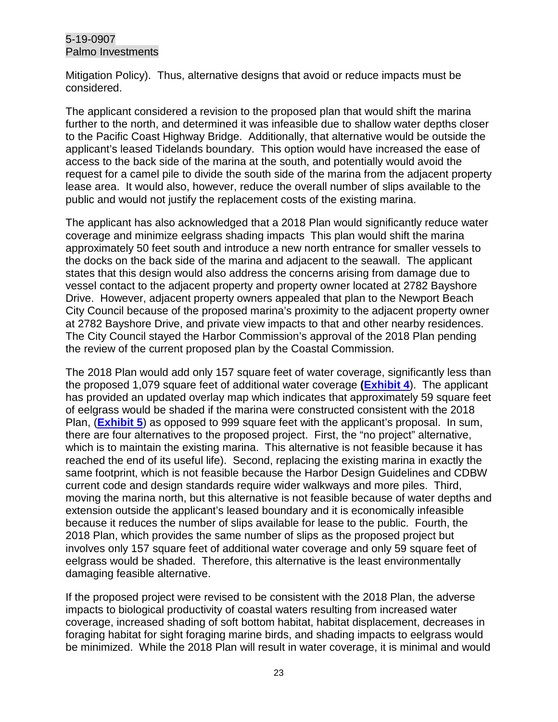Mitigation Policy). Thus, alternative designs that avoid or reduce impacts must be considered.

The applicant considered a revision to the proposed plan that would shift the marina further to the north, and determined it was infeasible due to shallow water depths closer to the Pacific Coast Highway Bridge. Additionally, that alternative would be outside the applicant's leased Tidelands boundary. This option would have increased the ease of access to the back side of the marina at the south, and potentially would avoid the request for a camel pile to divide the south side of the marina from the adjacent property lease area. It would also, however, reduce the overall number of slips available to the public and would not justify the replacement costs of the existing marina.

The applicant has also acknowledged that a 2018 Plan would significantly reduce water coverage and minimize eelgrass shading impacts This plan would shift the marina approximately 50 feet south and introduce a new north entrance for smaller vessels to the docks on the back side of the marina and adjacent to the seawall. The applicant states that this design would also address the concerns arising from damage due to vessel contact to the adjacent property and property owner located at 2782 Bayshore Drive. However, adjacent property owners appealed that plan to the Newport Beach City Council because of the proposed marina's proximity to the adjacent property owner at 2782 Bayshore Drive, and private view impacts to that and other nearby residences. The City Council stayed the Harbor Commission's approval of the 2018 Plan pending the review of the current proposed plan by the Coastal Commission.

The 2018 Plan would add only 157 square feet of water coverage, significantly less than the proposed 1,079 square feet of additional water coverage **[\(Exhibit 4](https://documents.coastal.ca.gov/reports/2020/3/Th12d/Th12d-3-2020-exhibits.pdf)**). The applicant has provided an updated overlay map which indicates that approximately 59 square feet of eelgrass would be shaded if the marina were constructed consistent with the 2018 Plan, (**[Exhibit 5](https://documents.coastal.ca.gov/reports/2020/3/Th12d/Th12d-3-2020-exhibits.pdf)**) as opposed to 999 square feet with the applicant's proposal. In sum, there are four alternatives to the proposed project. First, the "no project" alternative, which is to maintain the existing marina. This alternative is not feasible because it has reached the end of its useful life). Second, replacing the existing marina in exactly the same footprint, which is not feasible because the Harbor Design Guidelines and CDBW current code and design standards require wider walkways and more piles. Third, moving the marina north, but this alternative is not feasible because of water depths and extension outside the applicant's leased boundary and it is economically infeasible because it reduces the number of slips available for lease to the public. Fourth, the 2018 Plan, which provides the same number of slips as the proposed project but involves only 157 square feet of additional water coverage and only 59 square feet of eelgrass would be shaded. Therefore, this alternative is the least environmentally damaging feasible alternative.

If the proposed project were revised to be consistent with the 2018 Plan, the adverse impacts to biological productivity of coastal waters resulting from increased water coverage, increased shading of soft bottom habitat, habitat displacement, decreases in foraging habitat for sight foraging marine birds, and shading impacts to eelgrass would be minimized. While the 2018 Plan will result in water coverage, it is minimal and would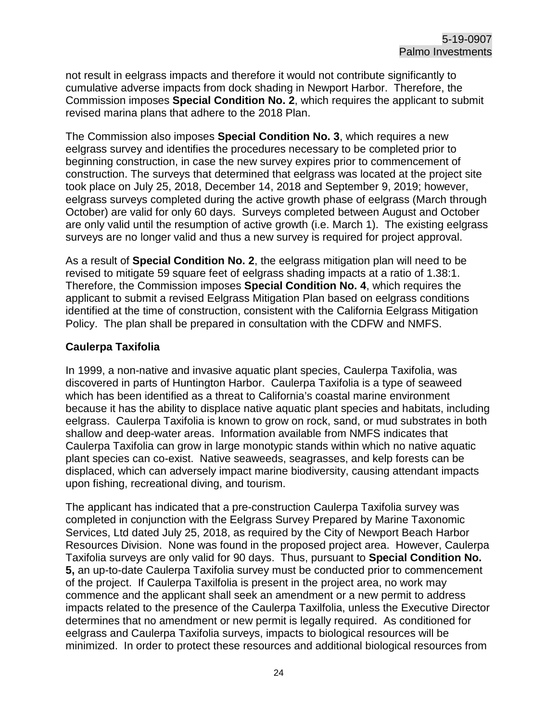not result in eelgrass impacts and therefore it would not contribute significantly to cumulative adverse impacts from dock shading in Newport Harbor. Therefore, the Commission imposes **Special Condition No. 2**, which requires the applicant to submit revised marina plans that adhere to the 2018 Plan.

The Commission also imposes **Special Condition No. 3**, which requires a new eelgrass survey and identifies the procedures necessary to be completed prior to beginning construction, in case the new survey expires prior to commencement of construction. The surveys that determined that eelgrass was located at the project site took place on July 25, 2018, December 14, 2018 and September 9, 2019; however, eelgrass surveys completed during the active growth phase of eelgrass (March through October) are valid for only 60 days. Surveys completed between August and October are only valid until the resumption of active growth (i.e. March 1). The existing eelgrass surveys are no longer valid and thus a new survey is required for project approval.

As a result of **Special Condition No. 2**, the eelgrass mitigation plan will need to be revised to mitigate 59 square feet of eelgrass shading impacts at a ratio of 1.38:1. Therefore, the Commission imposes **Special Condition No. 4**, which requires the applicant to submit a revised Eelgrass Mitigation Plan based on eelgrass conditions identified at the time of construction, consistent with the California Eelgrass Mitigation Policy. The plan shall be prepared in consultation with the CDFW and NMFS.

#### **Caulerpa Taxifolia**

In 1999, a non-native and invasive aquatic plant species, Caulerpa Taxifolia, was discovered in parts of Huntington Harbor. Caulerpa Taxifolia is a type of seaweed which has been identified as a threat to California's coastal marine environment because it has the ability to displace native aquatic plant species and habitats, including eelgrass. Caulerpa Taxifolia is known to grow on rock, sand, or mud substrates in both shallow and deep-water areas. Information available from NMFS indicates that Caulerpa Taxifolia can grow in large monotypic stands within which no native aquatic plant species can co-exist. Native seaweeds, seagrasses, and kelp forests can be displaced, which can adversely impact marine biodiversity, causing attendant impacts upon fishing, recreational diving, and tourism.

The applicant has indicated that a pre-construction Caulerpa Taxifolia survey was completed in conjunction with the Eelgrass Survey Prepared by Marine Taxonomic Services, Ltd dated July 25, 2018, as required by the City of Newport Beach Harbor Resources Division. None was found in the proposed project area. However, Caulerpa Taxifolia surveys are only valid for 90 days. Thus, pursuant to **Special Condition No. 5,** an up-to-date Caulerpa Taxifolia survey must be conducted prior to commencement of the project. If Caulerpa Taxilfolia is present in the project area, no work may commence and the applicant shall seek an amendment or a new permit to address impacts related to the presence of the Caulerpa Taxilfolia, unless the Executive Director determines that no amendment or new permit is legally required. As conditioned for eelgrass and Caulerpa Taxifolia surveys, impacts to biological resources will be minimized. In order to protect these resources and additional biological resources from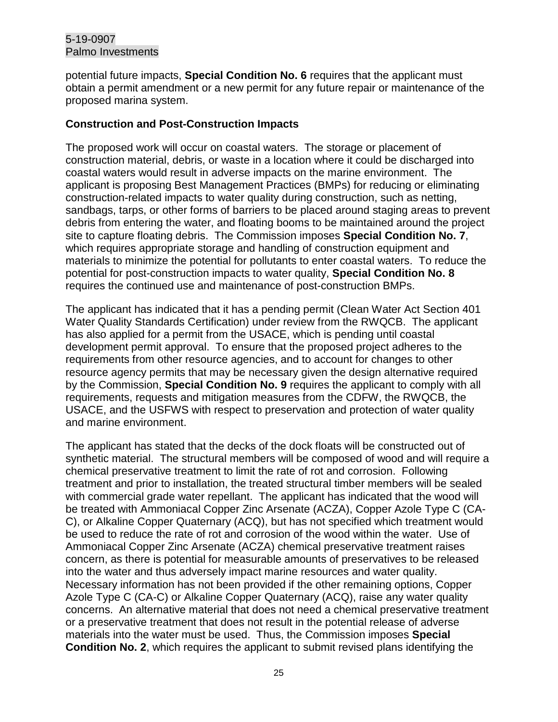potential future impacts, **Special Condition No. 6** requires that the applicant must obtain a permit amendment or a new permit for any future repair or maintenance of the proposed marina system.

#### **Construction and Post-Construction Impacts**

The proposed work will occur on coastal waters. The storage or placement of construction material, debris, or waste in a location where it could be discharged into coastal waters would result in adverse impacts on the marine environment. The applicant is proposing Best Management Practices (BMPs) for reducing or eliminating construction-related impacts to water quality during construction, such as netting, sandbags, tarps, or other forms of barriers to be placed around staging areas to prevent debris from entering the water, and floating booms to be maintained around the project site to capture floating debris. The Commission imposes **Special Condition No. 7**, which requires appropriate storage and handling of construction equipment and materials to minimize the potential for pollutants to enter coastal waters. To reduce the potential for post-construction impacts to water quality, **Special Condition No. 8** requires the continued use and maintenance of post-construction BMPs.

The applicant has indicated that it has a pending permit (Clean Water Act Section 401 Water Quality Standards Certification) under review from the RWQCB. The applicant has also applied for a permit from the USACE, which is pending until coastal development permit approval. To ensure that the proposed project adheres to the requirements from other resource agencies, and to account for changes to other resource agency permits that may be necessary given the design alternative required by the Commission, **Special Condition No. 9** requires the applicant to comply with all requirements, requests and mitigation measures from the CDFW, the RWQCB, the USACE, and the USFWS with respect to preservation and protection of water quality and marine environment.

The applicant has stated that the decks of the dock floats will be constructed out of synthetic material. The structural members will be composed of wood and will require a chemical preservative treatment to limit the rate of rot and corrosion. Following treatment and prior to installation, the treated structural timber members will be sealed with commercial grade water repellant. The applicant has indicated that the wood will be treated with Ammoniacal Copper Zinc Arsenate (ACZA), Copper Azole Type C (CA-C), or Alkaline Copper Quaternary (ACQ), but has not specified which treatment would be used to reduce the rate of rot and corrosion of the wood within the water. Use of Ammoniacal Copper Zinc Arsenate (ACZA) chemical preservative treatment raises concern, as there is potential for measurable amounts of preservatives to be released into the water and thus adversely impact marine resources and water quality. Necessary information has not been provided if the other remaining options, Copper Azole Type C (CA-C) or Alkaline Copper Quaternary (ACQ), raise any water quality concerns. An alternative material that does not need a chemical preservative treatment or a preservative treatment that does not result in the potential release of adverse materials into the water must be used. Thus, the Commission imposes **Special Condition No. 2**, which requires the applicant to submit revised plans identifying the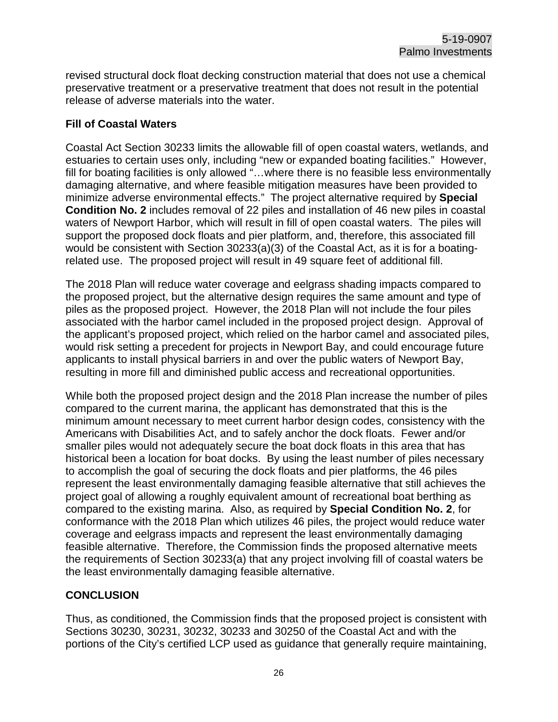revised structural dock float decking construction material that does not use a chemical preservative treatment or a preservative treatment that does not result in the potential release of adverse materials into the water.

#### **Fill of Coastal Waters**

Coastal Act Section 30233 limits the allowable fill of open coastal waters, wetlands, and estuaries to certain uses only, including "new or expanded boating facilities." However, fill for boating facilities is only allowed "…where there is no feasible less environmentally damaging alternative, and where feasible mitigation measures have been provided to minimize adverse environmental effects."The project alternative required by **Special Condition No. 2** includes removal of 22 piles and installation of 46 new piles in coastal waters of Newport Harbor, which will result in fill of open coastal waters. The piles will support the proposed dock floats and pier platform, and, therefore, this associated fill would be consistent with Section 30233(a)(3) of the Coastal Act, as it is for a boatingrelated use. The proposed project will result in 49 square feet of additional fill.

The 2018 Plan will reduce water coverage and eelgrass shading impacts compared to the proposed project, but the alternative design requires the same amount and type of piles as the proposed project. However, the 2018 Plan will not include the four piles associated with the harbor camel included in the proposed project design. Approval of the applicant's proposed project, which relied on the harbor camel and associated piles, would risk setting a precedent for projects in Newport Bay, and could encourage future applicants to install physical barriers in and over the public waters of Newport Bay, resulting in more fill and diminished public access and recreational opportunities.

While both the proposed project design and the 2018 Plan increase the number of piles compared to the current marina, the applicant has demonstrated that this is the minimum amount necessary to meet current harbor design codes, consistency with the Americans with Disabilities Act, and to safely anchor the dock floats. Fewer and/or smaller piles would not adequately secure the boat dock floats in this area that has historical been a location for boat docks. By using the least number of piles necessary to accomplish the goal of securing the dock floats and pier platforms, the 46 piles represent the least environmentally damaging feasible alternative that still achieves the project goal of allowing a roughly equivalent amount of recreational boat berthing as compared to the existing marina. Also, as required by **Special Condition No. 2**, for conformance with the 2018 Plan which utilizes 46 piles, the project would reduce water coverage and eelgrass impacts and represent the least environmentally damaging feasible alternative. Therefore, the Commission finds the proposed alternative meets the requirements of Section 30233(a) that any project involving fill of coastal waters be the least environmentally damaging feasible alternative.

## **CONCLUSION**

Thus, as conditioned, the Commission finds that the proposed project is consistent with Sections 30230, 30231, 30232, 30233 and 30250 of the Coastal Act and with the portions of the City's certified LCP used as guidance that generally require maintaining,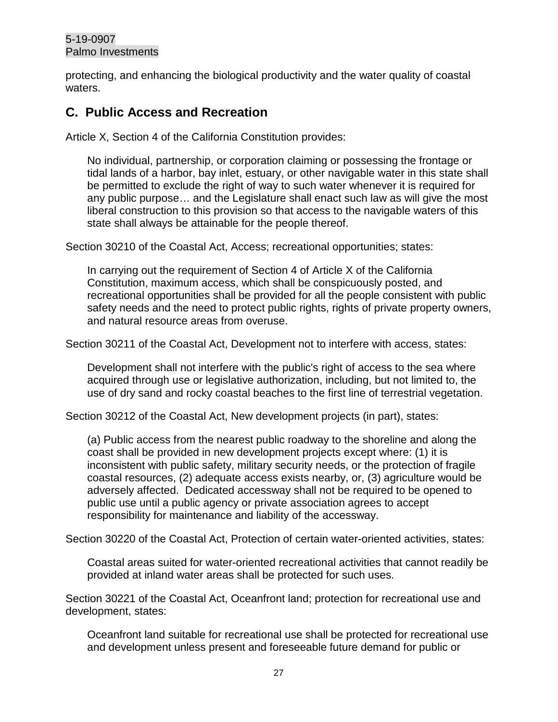protecting, and enhancing the biological productivity and the water quality of coastal waters.

# <span id="page-26-0"></span>**C. Public Access and Recreation**

Article X, Section 4 of the California Constitution provides:

No individual, partnership, or corporation claiming or possessing the frontage or tidal lands of a harbor, bay inlet, estuary, or other navigable water in this state shall be permitted to exclude the right of way to such water whenever it is required for any public purpose… and the Legislature shall enact such law as will give the most liberal construction to this provision so that access to the navigable waters of this state shall always be attainable for the people thereof.

Section 30210 of the Coastal Act, Access; recreational opportunities; states:

In carrying out the requirement of Section 4 of Article X of the California Constitution, maximum access, which shall be conspicuously posted, and recreational opportunities shall be provided for all the people consistent with public safety needs and the need to protect public rights, rights of private property owners, and natural resource areas from overuse.

Section 30211 of the Coastal Act, Development not to interfere with access, states:

Development shall not interfere with the public's right of access to the sea where acquired through use or legislative authorization, including, but not limited to, the use of dry sand and rocky coastal beaches to the first line of terrestrial vegetation.

Section 30212 of the Coastal Act, New development projects (in part), states:

(a) Public access from the nearest public roadway to the shoreline and along the coast shall be provided in new development projects except where: (1) it is inconsistent with public safety, military security needs, or the protection of fragile coastal resources, (2) adequate access exists nearby, or, (3) agriculture would be adversely affected. Dedicated accessway shall not be required to be opened to public use until a public agency or private association agrees to accept responsibility for maintenance and liability of the accessway.

Section 30220 of the Coastal Act, Protection of certain water-oriented activities, states:

Coastal areas suited for water-oriented recreational activities that cannot readily be provided at inland water areas shall be protected for such uses.

Section 30221 of the Coastal Act, Oceanfront land; protection for recreational use and development, states:

Oceanfront land suitable for recreational use shall be protected for recreational use and development unless present and foreseeable future demand for public or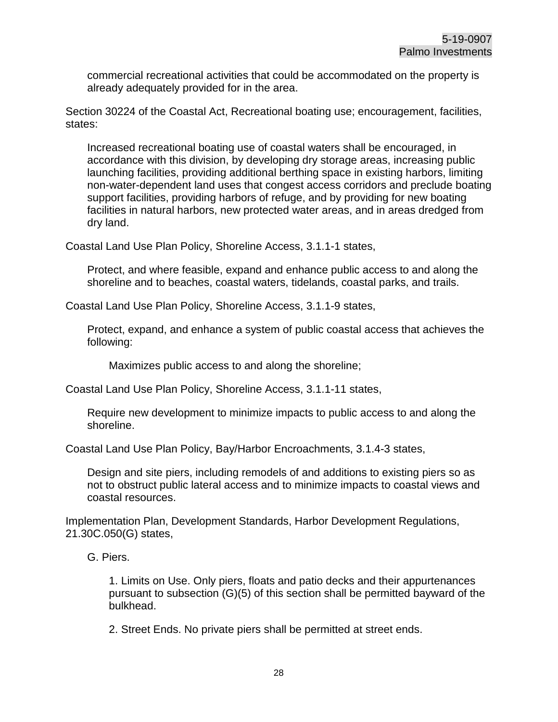commercial recreational activities that could be accommodated on the property is already adequately provided for in the area.

Section 30224 of the Coastal Act, Recreational boating use; encouragement, facilities, states:

Increased recreational boating use of coastal waters shall be encouraged, in accordance with this division, by developing dry storage areas, increasing public launching facilities, providing additional berthing space in existing harbors, limiting non-water-dependent land uses that congest access corridors and preclude boating support facilities, providing harbors of refuge, and by providing for new boating facilities in natural harbors, new protected water areas, and in areas dredged from dry land.

Coastal Land Use Plan Policy, Shoreline Access, 3.1.1-1 states,

Protect, and where feasible, expand and enhance public access to and along the shoreline and to beaches, coastal waters, tidelands, coastal parks, and trails.

Coastal Land Use Plan Policy, Shoreline Access, 3.1.1-9 states,

Protect, expand, and enhance a system of public coastal access that achieves the following:

Maximizes public access to and along the shoreline;

Coastal Land Use Plan Policy, Shoreline Access, 3.1.1-11 states,

Require new development to minimize impacts to public access to and along the shoreline.

Coastal Land Use Plan Policy, Bay/Harbor Encroachments, 3.1.4-3 states,

Design and site piers, including remodels of and additions to existing piers so as not to obstruct public lateral access and to minimize impacts to coastal views and coastal resources.

Implementation Plan, Development Standards, Harbor Development Regulations, 21.30C.050(G) states,

G. Piers.

1. Limits on Use. Only piers, floats and patio decks and their appurtenances pursuant to subsection (G)(5) of this section shall be permitted bayward of the bulkhead.

2. Street Ends. No private piers shall be permitted at street ends.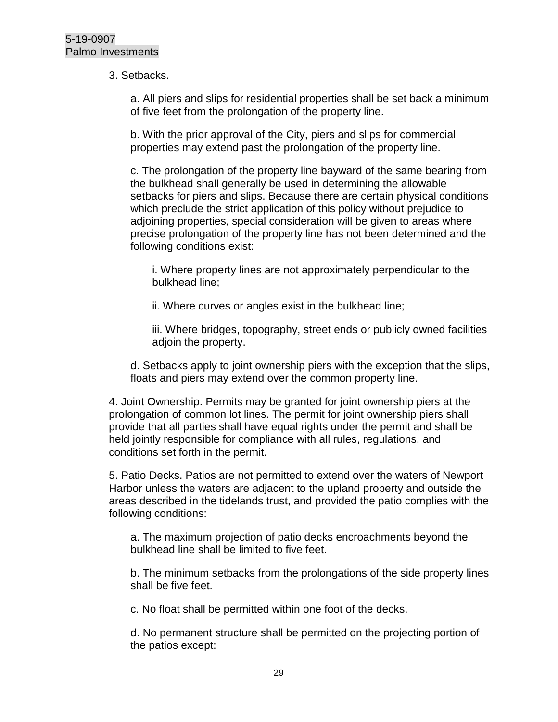#### 3. Setbacks.

a. All piers and slips for residential properties shall be set back a minimum of five feet from the prolongation of the property line.

b. With the prior approval of the City, piers and slips for commercial properties may extend past the prolongation of the property line.

c. The prolongation of the property line bayward of the same bearing from the bulkhead shall generally be used in determining the allowable setbacks for piers and slips. Because there are certain physical conditions which preclude the strict application of this policy without prejudice to adjoining properties, special consideration will be given to areas where precise prolongation of the property line has not been determined and the following conditions exist:

i. Where property lines are not approximately perpendicular to the bulkhead line;

ii. Where curves or angles exist in the bulkhead line;

iii. Where bridges, topography, street ends or publicly owned facilities adjoin the property.

d. Setbacks apply to joint ownership piers with the exception that the slips, floats and piers may extend over the common property line.

4. Joint Ownership. Permits may be granted for joint ownership piers at the prolongation of common lot lines. The permit for joint ownership piers shall provide that all parties shall have equal rights under the permit and shall be held jointly responsible for compliance with all rules, regulations, and conditions set forth in the permit.

5. Patio Decks. Patios are not permitted to extend over the waters of Newport Harbor unless the waters are adjacent to the upland property and outside the areas described in the tidelands trust, and provided the patio complies with the following conditions:

a. The maximum projection of patio decks encroachments beyond the bulkhead line shall be limited to five feet.

b. The minimum setbacks from the prolongations of the side property lines shall be five feet.

c. No float shall be permitted within one foot of the decks.

d. No permanent structure shall be permitted on the projecting portion of the patios except: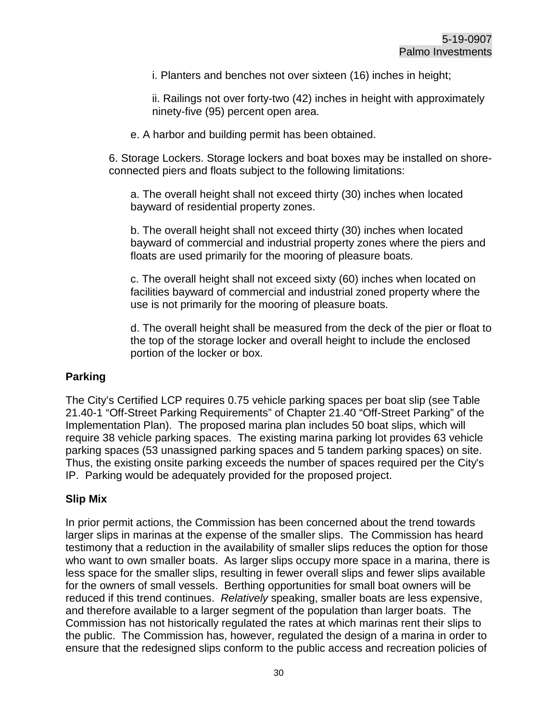i. Planters and benches not over sixteen (16) inches in height;

ii. Railings not over forty-two (42) inches in height with approximately ninety-five (95) percent open area.

e. A harbor and building permit has been obtained.

6. Storage Lockers. Storage lockers and boat boxes may be installed on shoreconnected piers and floats subject to the following limitations:

a. The overall height shall not exceed thirty (30) inches when located bayward of residential property zones.

b. The overall height shall not exceed thirty (30) inches when located bayward of commercial and industrial property zones where the piers and floats are used primarily for the mooring of pleasure boats.

c. The overall height shall not exceed sixty (60) inches when located on facilities bayward of commercial and industrial zoned property where the use is not primarily for the mooring of pleasure boats.

d. The overall height shall be measured from the deck of the pier or float to the top of the storage locker and overall height to include the enclosed portion of the locker or box.

## **Parking**

The City's Certified LCP requires 0.75 vehicle parking spaces per boat slip (see Table 21.40-1 "Off-Street Parking Requirements" of Chapter 21.40 "Off-Street Parking" of the Implementation Plan). The proposed marina plan includes 50 boat slips, which will require 38 vehicle parking spaces. The existing marina parking lot provides 63 vehicle parking spaces (53 unassigned parking spaces and 5 tandem parking spaces) on site. Thus, the existing onsite parking exceeds the number of spaces required per the City's IP. Parking would be adequately provided for the proposed project.

## **Slip Mix**

In prior permit actions, the Commission has been concerned about the trend towards larger slips in marinas at the expense of the smaller slips. The Commission has heard testimony that a reduction in the availability of smaller slips reduces the option for those who want to own smaller boats. As larger slips occupy more space in a marina, there is less space for the smaller slips, resulting in fewer overall slips and fewer slips available for the owners of small vessels. Berthing opportunities for small boat owners will be reduced if this trend continues. *Relatively* speaking, smaller boats are less expensive, and therefore available to a larger segment of the population than larger boats. The Commission has not historically regulated the rates at which marinas rent their slips to the public. The Commission has, however, regulated the design of a marina in order to ensure that the redesigned slips conform to the public access and recreation policies of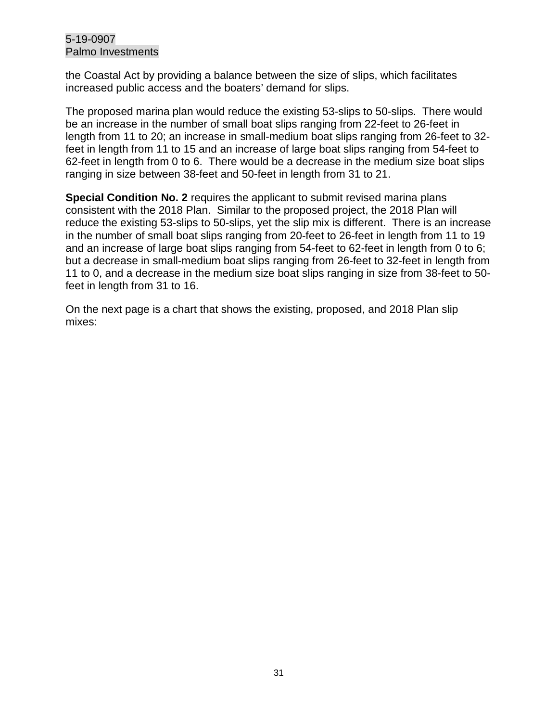the Coastal Act by providing a balance between the size of slips, which facilitates increased public access and the boaters' demand for slips.

The proposed marina plan would reduce the existing 53-slips to 50-slips. There would be an increase in the number of small boat slips ranging from 22-feet to 26-feet in length from 11 to 20; an increase in small-medium boat slips ranging from 26-feet to 32 feet in length from 11 to 15 and an increase of large boat slips ranging from 54-feet to 62-feet in length from 0 to 6. There would be a decrease in the medium size boat slips ranging in size between 38-feet and 50-feet in length from 31 to 21.

**Special Condition No. 2** requires the applicant to submit revised marina plans consistent with the 2018 Plan. Similar to the proposed project, the 2018 Plan will reduce the existing 53-slips to 50-slips, yet the slip mix is different. There is an increase in the number of small boat slips ranging from 20-feet to 26-feet in length from 11 to 19 and an increase of large boat slips ranging from 54-feet to 62-feet in length from 0 to 6; but a decrease in small-medium boat slips ranging from 26-feet to 32-feet in length from 11 to 0, and a decrease in the medium size boat slips ranging in size from 38-feet to 50 feet in length from 31 to 16.

On the next page is a chart that shows the existing, proposed, and 2018 Plan slip mixes: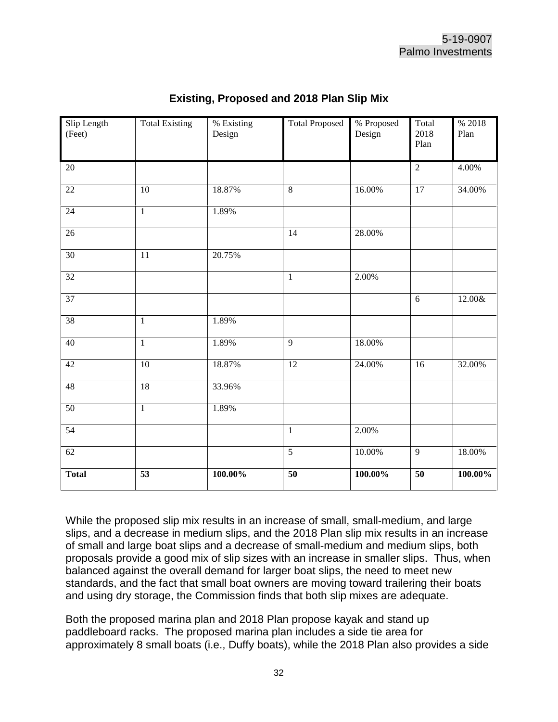| Slip Length<br>(Feet) | <b>Total Existing</b> | % Existing<br>Design | <b>Total Proposed</b> | % Proposed<br>Design | Total<br>2018<br>Plan | % 2018<br>Plan |
|-----------------------|-----------------------|----------------------|-----------------------|----------------------|-----------------------|----------------|
| $20\,$                |                       |                      |                       |                      | $\sqrt{2}$            | 4.00%          |
| $\overline{22}$       | $\overline{10}$       | 18.87%               | $\overline{8}$        | 16.00%               | $\overline{17}$       | 34.00%         |
| 24                    | $\mathbf{1}$          | 1.89%                |                       |                      |                       |                |
| $\overline{26}$       |                       |                      | $\overline{14}$       | 28.00%               |                       |                |
| 30                    | $\overline{11}$       | 20.75%               |                       |                      |                       |                |
| 32                    |                       |                      | $\,1$                 | 2.00%                |                       |                |
| $\overline{37}$       |                       |                      |                       |                      | 6                     | 12.00&         |
| 38                    | $\mathbf{1}$          | 1.89%                |                       |                      |                       |                |
| 40                    | $\overline{1}$        | 1.89%                | $\overline{9}$        | 18.00%               |                       |                |
| 42                    | 10                    | 18.87%               | 12                    | 24.00%               | 16                    | 32.00%         |
| 48                    | 18                    | 33.96%               |                       |                      |                       |                |
| 50                    | $\overline{1}$        | 1.89%                |                       |                      |                       |                |
| 54                    |                       |                      | $\mathbf{1}$          | 2.00%                |                       |                |
| 62                    |                       |                      | $\overline{5}$        | 10.00%               | $\overline{9}$        | 18.00%         |
| <b>Total</b>          | $\overline{53}$       | 100.00%              | $\overline{50}$       | 100.00%              | $\overline{50}$       | 100.00%        |

## **Existing, Proposed and 2018 Plan Slip Mix**

While the proposed slip mix results in an increase of small, small-medium, and large slips, and a decrease in medium slips, and the 2018 Plan slip mix results in an increase of small and large boat slips and a decrease of small-medium and medium slips, both proposals provide a good mix of slip sizes with an increase in smaller slips. Thus, when balanced against the overall demand for larger boat slips, the need to meet new standards, and the fact that small boat owners are moving toward trailering their boats and using dry storage, the Commission finds that both slip mixes are adequate.

Both the proposed marina plan and 2018 Plan propose kayak and stand up paddleboard racks. The proposed marina plan includes a side tie area for approximately 8 small boats (i.e., Duffy boats), while the 2018 Plan also provides a side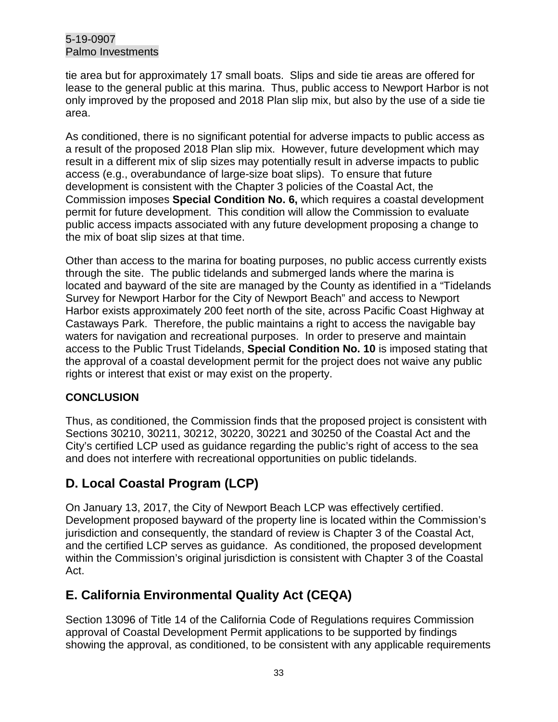tie area but for approximately 17 small boats. Slips and side tie areas are offered for lease to the general public at this marina. Thus, public access to Newport Harbor is not only improved by the proposed and 2018 Plan slip mix, but also by the use of a side tie area.

As conditioned, there is no significant potential for adverse impacts to public access as a result of the proposed 2018 Plan slip mix. However, future development which may result in a different mix of slip sizes may potentially result in adverse impacts to public access (e.g., overabundance of large-size boat slips). To ensure that future development is consistent with the Chapter 3 policies of the Coastal Act, the Commission imposes **Special Condition No. 6,** which requires a coastal development permit for future development. This condition will allow the Commission to evaluate public access impacts associated with any future development proposing a change to the mix of boat slip sizes at that time.

Other than access to the marina for boating purposes, no public access currently exists through the site. The public tidelands and submerged lands where the marina is located and bayward of the site are managed by the County as identified in a "Tidelands Survey for Newport Harbor for the City of Newport Beach" and access to Newport Harbor exists approximately 200 feet north of the site, across Pacific Coast Highway at Castaways Park. Therefore, the public maintains a right to access the navigable bay waters for navigation and recreational purposes. In order to preserve and maintain access to the Public Trust Tidelands, **Special Condition No. 10** is imposed stating that the approval of a coastal development permit for the project does not waive any public rights or interest that exist or may exist on the property.

# **CONCLUSION**

Thus, as conditioned, the Commission finds that the proposed project is consistent with Sections 30210, 30211, 30212, 30220, 30221 and 30250 of the Coastal Act and the City's certified LCP used as guidance regarding the public's right of access to the sea and does not interfere with recreational opportunities on public tidelands.

# <span id="page-32-0"></span>**D. Local Coastal Program (LCP)**

On January 13, 2017, the City of Newport Beach LCP was effectively certified. Development proposed bayward of the property line is located within the Commission's jurisdiction and consequently, the standard of review is Chapter 3 of the Coastal Act, and the certified LCP serves as guidance. As conditioned, the proposed development within the Commission's original jurisdiction is consistent with Chapter 3 of the Coastal Act.

# <span id="page-32-1"></span>**E. California Environmental Quality Act (CEQA)**

Section 13096 of Title 14 of the California Code of Regulations requires Commission approval of Coastal Development Permit applications to be supported by findings showing the approval, as conditioned, to be consistent with any applicable requirements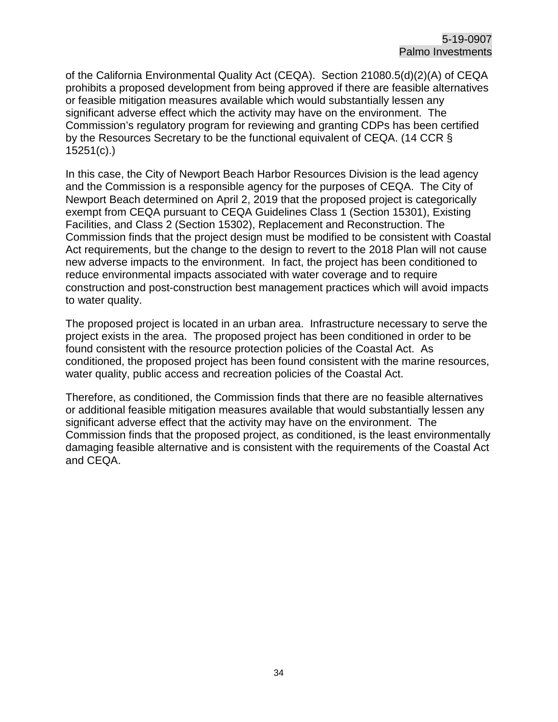of the California Environmental Quality Act (CEQA). Section 21080.5(d)(2)(A) of CEQA prohibits a proposed development from being approved if there are feasible alternatives or feasible mitigation measures available which would substantially lessen any significant adverse effect which the activity may have on the environment. The Commission's regulatory program for reviewing and granting CDPs has been certified by the Resources Secretary to be the functional equivalent of CEQA. (14 CCR § 15251(c).)

In this case, the City of Newport Beach Harbor Resources Division is the lead agency and the Commission is a responsible agency for the purposes of CEQA. The City of Newport Beach determined on April 2, 2019 that the proposed project is categorically exempt from CEQA pursuant to CEQA Guidelines Class 1 (Section 15301), Existing Facilities, and Class 2 (Section 15302), Replacement and Reconstruction. The Commission finds that the project design must be modified to be consistent with Coastal Act requirements, but the change to the design to revert to the 2018 Plan will not cause new adverse impacts to the environment. In fact, the project has been conditioned to reduce environmental impacts associated with water coverage and to require construction and post-construction best management practices which will avoid impacts to water quality.

The proposed project is located in an urban area. Infrastructure necessary to serve the project exists in the area. The proposed project has been conditioned in order to be found consistent with the resource protection policies of the Coastal Act. As conditioned, the proposed project has been found consistent with the marine resources, water quality, public access and recreation policies of the Coastal Act.

Therefore, as conditioned, the Commission finds that there are no feasible alternatives or additional feasible mitigation measures available that would substantially lessen any significant adverse effect that the activity may have on the environment. The Commission finds that the proposed project, as conditioned, is the least environmentally damaging feasible alternative and is consistent with the requirements of the Coastal Act and CEQA.